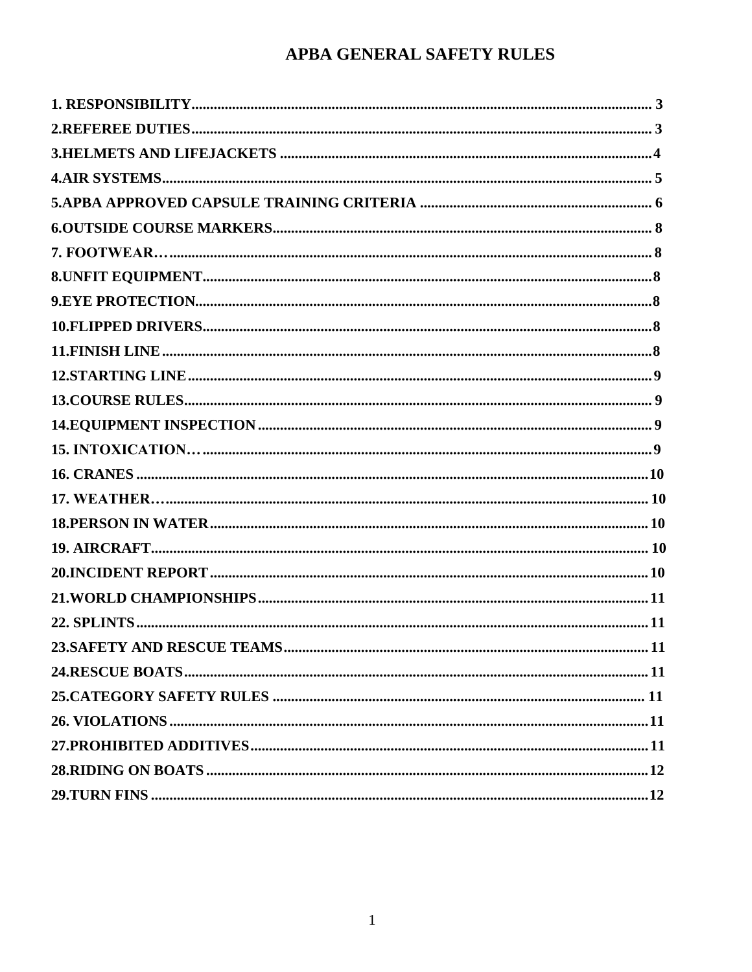# APBA GENERAL SAFETY RULES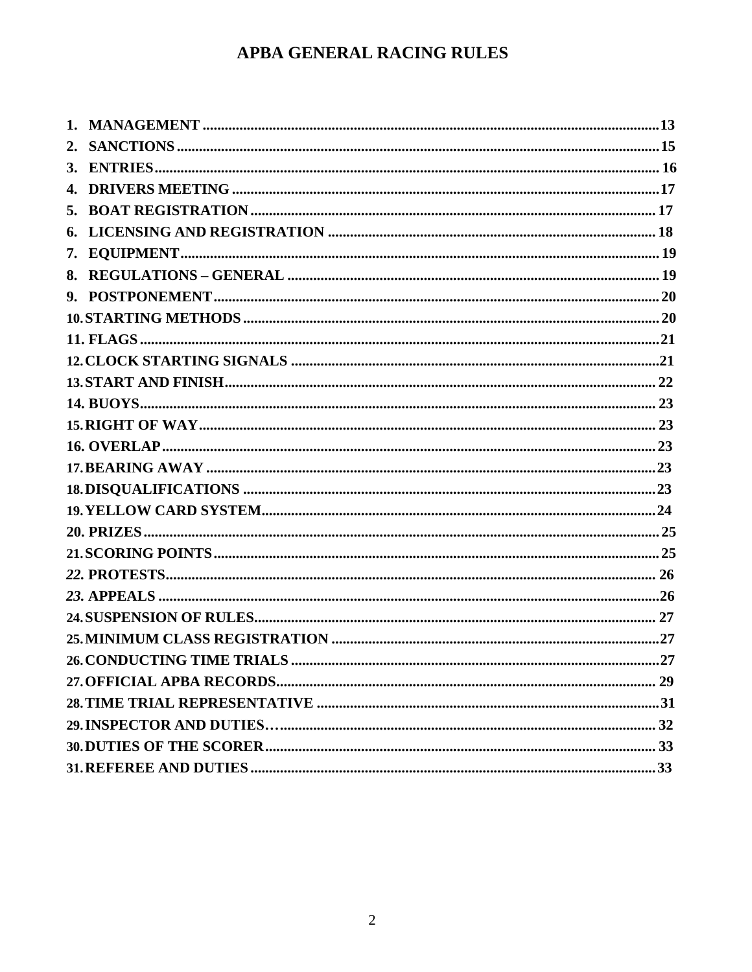# APBA GENERAL RACING RULES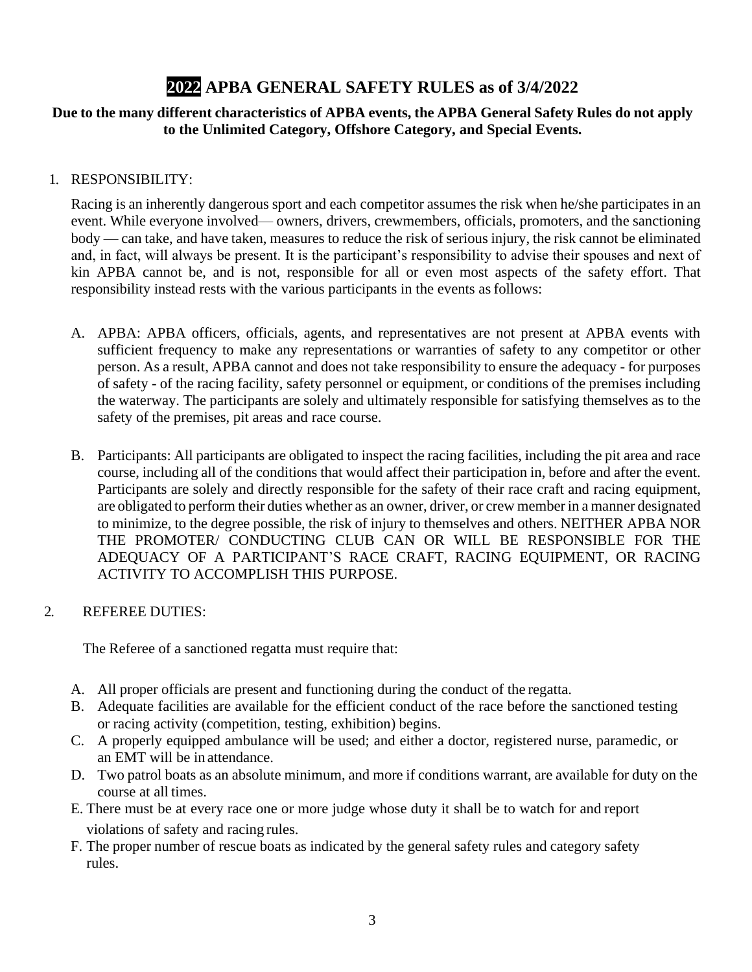# **2022 APBA GENERAL SAFETY RULES as of 3/4/2022**

#### <span id="page-2-0"></span>**Due to the many different characteristics of APBA events, the APBA General Safety Rules do not apply to the Unlimited Category, Offshore Category, and Special Events.**

#### 1. RESPONSIBILITY:

Racing is an inherently dangerous sport and each competitor assumes the risk when he/she participates in an event. While everyone involved— owners, drivers, crewmembers, officials, promoters, and the sanctioning body — can take, and have taken, measures to reduce the risk of serious injury, the risk cannot be eliminated and, in fact, will always be present. It is the participant's responsibility to advise their spouses and next of kin APBA cannot be, and is not, responsible for all or even most aspects of the safety effort. That responsibility instead rests with the various participants in the events asfollows:

- A. APBA: APBA officers, officials, agents, and representatives are not present at APBA events with sufficient frequency to make any representations or warranties of safety to any competitor or other person. As a result, APBA cannot and does not take responsibility to ensure the adequacy - for purposes of safety - of the racing facility, safety personnel or equipment, or conditions of the premises including the waterway. The participants are solely and ultimately responsible for satisfying themselves as to the safety of the premises, pit areas and race course.
- B. Participants: All participants are obligated to inspect the racing facilities, including the pit area and race course, including all of the conditions that would affect their participation in, before and after the event. Participants are solely and directly responsible for the safety of their race craft and racing equipment, are obligated to perform their duties whether as an owner, driver, or crew memberin a manner designated to minimize, to the degree possible, the risk of injury to themselves and others. NEITHER APBA NOR THE PROMOTER/ CONDUCTING CLUB CAN OR WILL BE RESPONSIBLE FOR THE ADEQUACY OF A PARTICIPANT'S RACE CRAFT, RACING EQUIPMENT, OR RACING ACTIVITY TO ACCOMPLISH THIS PURPOSE.

#### <span id="page-2-1"></span>2. REFEREE DUTIES:

The Referee of a sanctioned regatta must require that:

- A. All proper officials are present and functioning during the conduct of the regatta.
- B. Adequate facilities are available for the efficient conduct of the race before the sanctioned testing or racing activity (competition, testing, exhibition) begins.
- C. A properly equipped ambulance will be used; and either a doctor, registered nurse, paramedic, or an EMT will be in attendance.
- D. Two patrol boats as an absolute minimum, and more if conditions warrant, are available for duty on the course at all times.
- E. There must be at every race one or more judge whose duty it shall be to watch for and report violations of safety and racing rules.
- F. The proper number of rescue boats as indicated by the general safety rules and category safety rules.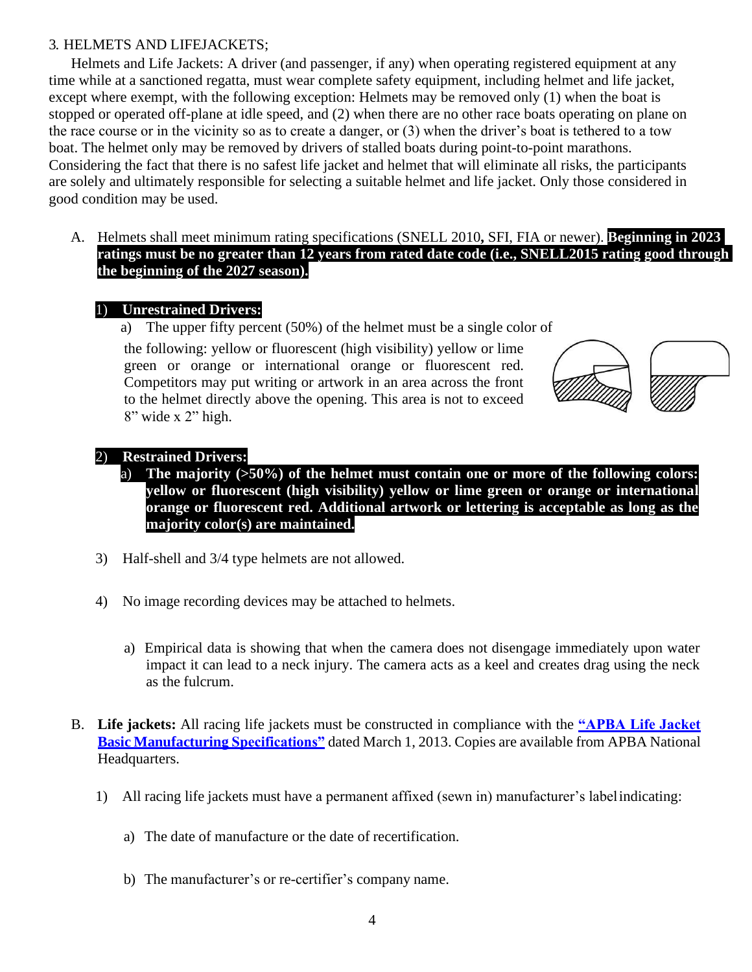#### <span id="page-3-0"></span>3. HELMETS AND LIFEJACKETS;

Helmets and Life Jackets: A driver (and passenger, if any) when operating registered equipment at any time while at a sanctioned regatta, must wear complete safety equipment, including helmet and life jacket, except where exempt, with the following exception: Helmets may be removed only (1) when the boat is stopped or operated off-plane at idle speed, and (2) when there are no other race boats operating on plane on the race course or in the vicinity so as to create a danger, or (3) when the driver's boat is tethered to a tow boat. The helmet only may be removed by drivers of stalled boats during point-to-point marathons. Considering the fact that there is no safest life jacket and helmet that will eliminate all risks, the participants are solely and ultimately responsible for selecting a suitable helmet and life jacket. Only those considered in good condition may be used.

A. Helmets shall meet minimum rating specifications (SNELL 2010**,** SFI, FIA or newer). **Beginning in 2023 ratings must be no greater than 12 years from rated date code (i.e., SNELL2015 rating good through the beginning of the 2027 season).**

#### 1) **Unrestrained Drivers:**

a) The upper fifty percent (50%) of the helmet must be a single color of

the following: yellow or fluorescent (high visibility) yellow or lime green or orange or international orange or fluorescent red. Competitors may put writing or artwork in an area across the front to the helmet directly above the opening. This area is not to exceed  $8"$  wide x  $2"$  high.



#### 2) **Restrained Drivers:**

- a) **The majority (>50%) of the helmet must contain one or more of the following colors: yellow or fluorescent (high visibility) yellow or lime green or orange or international orange or fluorescent red. Additional artwork or lettering is acceptable as long as the majority color(s) are maintained.**
- 3) Half-shell and 3/4 type helmets are not allowed.
- 4) No image recording devices may be attached to helmets.
	- a) Empirical data is showing that when the camera does not disengage immediately upon water impact it can lead to a neck injury. The camera acts as a keel and creates drag using the neck as the fulcrum.
- B. **Life jackets:** All racing life jackets must be constructed in compliance with the **"APBA Life Jacket Basic Manufacturing Specifications"** dated March 1, 2013. Copies are available from APBA National Headquarters.
	- 1) All racing life jackets must have a permanent affixed (sewn in) manufacturer's labelindicating:
		- a) The date of manufacture or the date of recertification.
		- b) The manufacturer's or re-certifier's company name.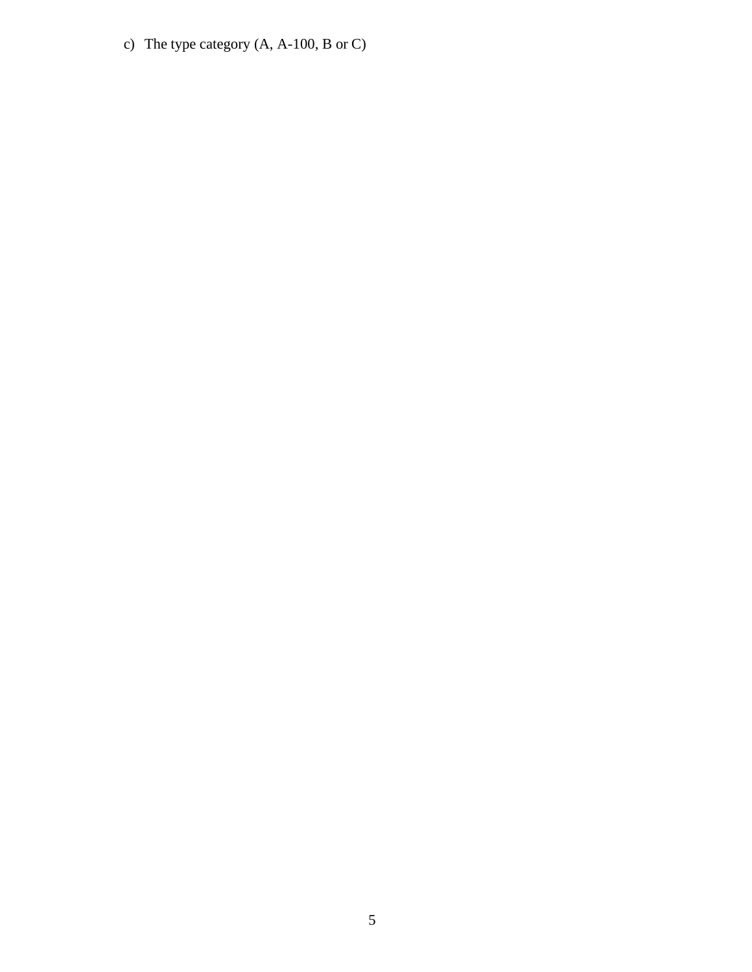c) The type category (A, A-100, B or C)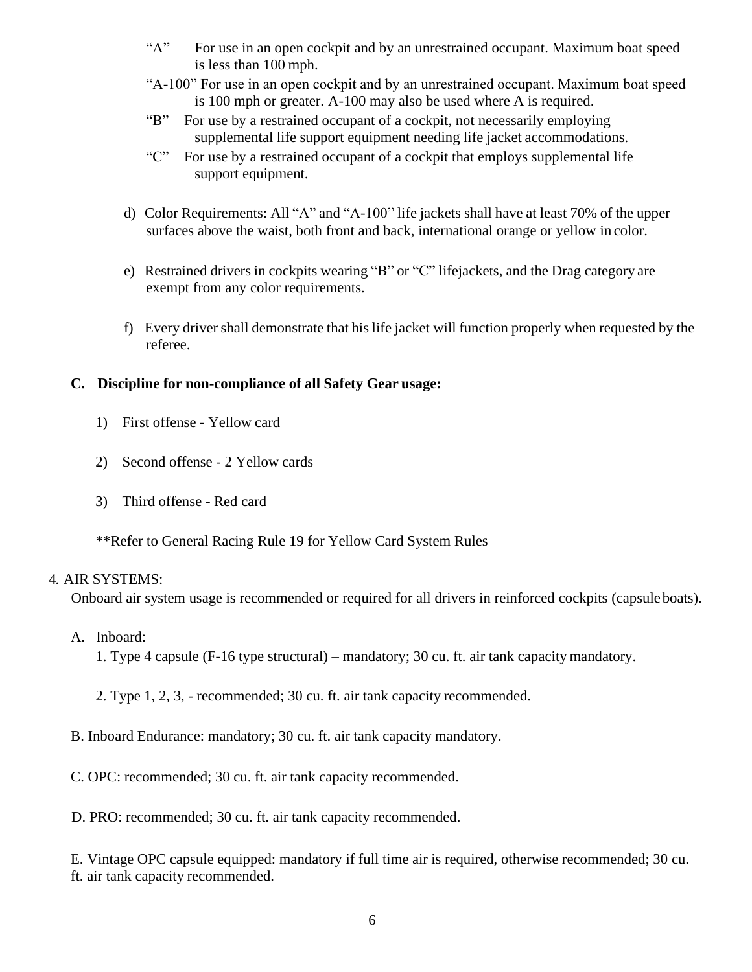- "A" For use in an open cockpit and by an unrestrained occupant. Maximum boat speed is less than 100 mph.
- "A-100" For use in an open cockpit and by an unrestrained occupant. Maximum boat speed is 100 mph or greater. A-100 may also be used where A is required.
- "B" For use by a restrained occupant of a cockpit, not necessarily employing supplemental life support equipment needing life jacket accommodations.
- "C" For use by a restrained occupant of a cockpit that employs supplemental life support equipment.
- d) Color Requirements: All "A" and "A-100" life jackets shall have at least 70% of the upper surfaces above the waist, both front and back, international orange or yellow in color.
- <span id="page-5-0"></span>e) Restrained drivers in cockpits wearing "B" or "C" lifejackets, and the Drag category are exempt from any color requirements.
- f) Every driver shall demonstrate that his life jacket will function properly when requested by the referee.

#### **C. Discipline for non-compliance of all Safety Gear usage:**

- 1) First offense Yellow card
- 2) Second offense 2 Yellow cards
- 3) Third offense Red card

\*\*Refer to General Racing Rule 19 for Yellow Card System Rules

#### 4. AIR SYSTEMS:

Onboard air system usage is recommended or required for all drivers in reinforced cockpits (capsuleboats).

- A. Inboard:
	- 1. Type 4 capsule (F-16 type structural) mandatory; 30 cu. ft. air tank capacity mandatory.
	- 2. Type 1, 2, 3, recommended; 30 cu. ft. air tank capacity recommended.
- B. Inboard Endurance: mandatory; 30 cu. ft. air tank capacity mandatory.
- C. OPC: recommended; 30 cu. ft. air tank capacity recommended.
- D. PRO: recommended; 30 cu. ft. air tank capacity recommended.

E. Vintage OPC capsule equipped: mandatory if full time air is required, otherwise recommended; 30 cu. ft. air tank capacity recommended.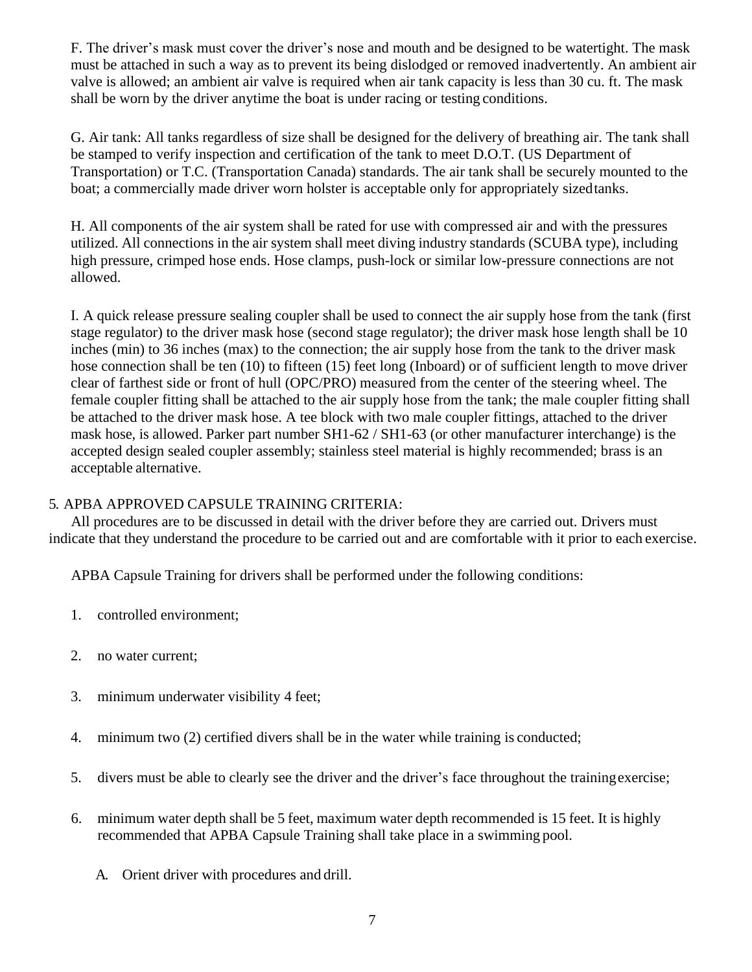F. The driver's mask must cover the driver's nose and mouth and be designed to be watertight. The mask must be attached in such a way as to prevent its being dislodged or removed inadvertently. An ambient air valve is allowed; an ambient air valve is required when air tank capacity is less than 30 cu. ft. The mask shall be worn by the driver anytime the boat is under racing or testing conditions.

<span id="page-6-0"></span>G. Air tank: All tanks regardless of size shall be designed for the delivery of breathing air. The tank shall be stamped to verify inspection and certification of the tank to meet D.O.T. (US Department of Transportation) or T.C. (Transportation Canada) standards. The air tank shall be securely mounted to the boat; a commercially made driver worn holster is acceptable only for appropriately sizedtanks.

H. All components of the air system shall be rated for use with compressed air and with the pressures utilized. All connections in the air system shall meet diving industry standards (SCUBA type), including high pressure, crimped hose ends. Hose clamps, push-lock or similar low-pressure connections are not allowed.

I. A quick release pressure sealing coupler shall be used to connect the air supply hose from the tank (first stage regulator) to the driver mask hose (second stage regulator); the driver mask hose length shall be 10 inches (min) to 36 inches (max) to the connection; the air supply hose from the tank to the driver mask hose connection shall be ten (10) to fifteen (15) feet long (Inboard) or of sufficient length to move driver clear of farthest side or front of hull (OPC/PRO) measured from the center of the steering wheel. The female coupler fitting shall be attached to the air supply hose from the tank; the male coupler fitting shall be attached to the driver mask hose. A tee block with two male coupler fittings, attached to the driver mask hose, is allowed. Parker part number SH1-62 / SH1-63 (or other manufacturer interchange) is the accepted design sealed coupler assembly; stainless steel material is highly recommended; brass is an acceptable alternative.

#### 5. APBA APPROVED CAPSULE TRAINING CRITERIA:

All procedures are to be discussed in detail with the driver before they are carried out. Drivers must indicate that they understand the procedure to be carried out and are comfortable with it prior to each exercise.

APBA Capsule Training for drivers shall be performed under the following conditions:

- 1. controlled environment;
- 2. no water current;
- 3. minimum underwater visibility 4 feet;
- 4. minimum two (2) certified divers shall be in the water while training is conducted;
- 5. divers must be able to clearly see the driver and the driver's face throughout the trainingexercise;
- 6. minimum water depth shall be 5 feet, maximum water depth recommended is 15 feet. It is highly recommended that APBA Capsule Training shall take place in a swimming pool.
	- A. Orient driver with procedures and drill.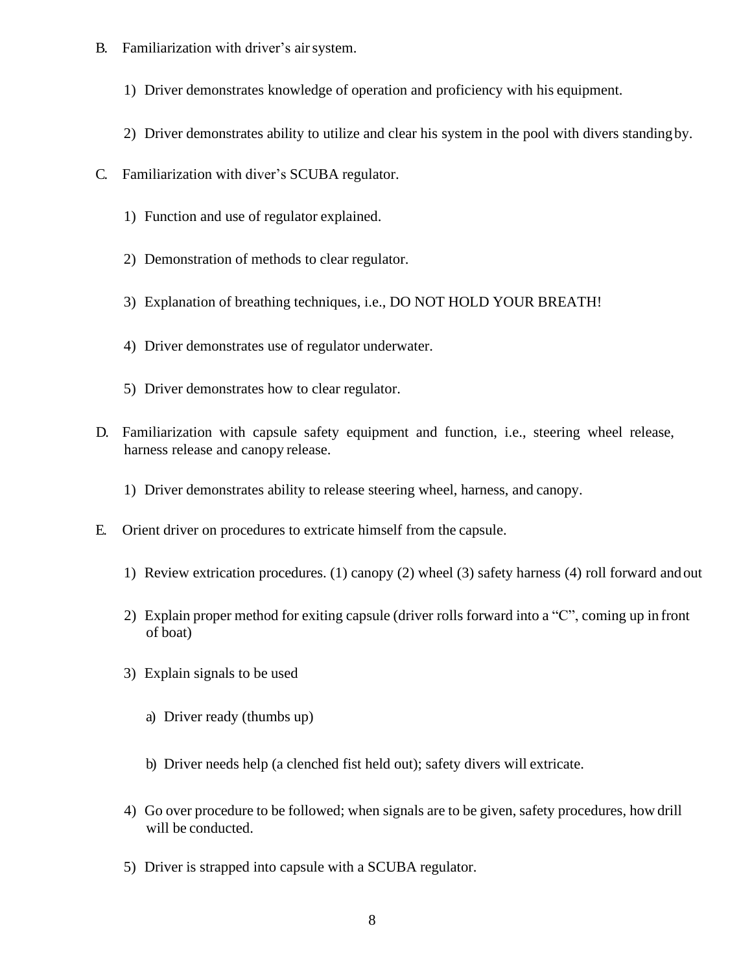- B. Familiarization with driver's airsystem.
	- 1) Driver demonstrates knowledge of operation and proficiency with his equipment.
	- 2) Driver demonstrates ability to utilize and clear his system in the pool with divers standingby.
- C. Familiarization with diver's SCUBA regulator.
	- 1) Function and use of regulator explained.
	- 2) Demonstration of methods to clear regulator.
	- 3) Explanation of breathing techniques, i.e., DO NOT HOLD YOUR BREATH!
	- 4) Driver demonstrates use of regulator underwater.
	- 5) Driver demonstrates how to clear regulator.
- D. Familiarization with capsule safety equipment and function, i.e., steering wheel release, harness release and canopy release.
	- 1) Driver demonstrates ability to release steering wheel, harness, and canopy.
- E. Orient driver on procedures to extricate himself from the capsule.
	- 1) Review extrication procedures. (1) canopy (2) wheel (3) safety harness (4) roll forward andout
	- 2) Explain proper method for exiting capsule (driver rolls forward into a "C", coming up in front of boat)
	- 3) Explain signals to be used
		- a) Driver ready (thumbs up)
		- b) Driver needs help (a clenched fist held out); safety divers will extricate.
	- 4) Go over procedure to be followed; when signals are to be given, safety procedures, how drill will be conducted.
	- 5) Driver is strapped into capsule with a SCUBA regulator.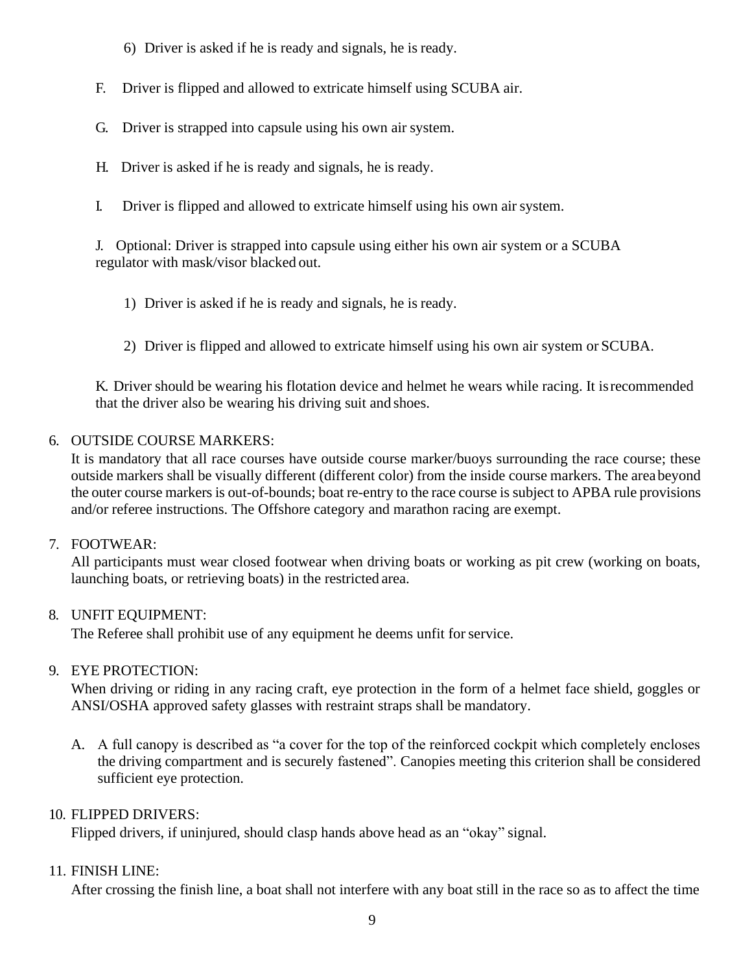- 6) Driver is asked if he is ready and signals, he is ready.
- F. Driver is flipped and allowed to extricate himself using SCUBA air.
- G. Driver is strapped into capsule using his own air system.
- H. Driver is asked if he is ready and signals, he is ready.
- I. Driver is flipped and allowed to extricate himself using his own air system.

<span id="page-8-0"></span>J. Optional: Driver is strapped into capsule using either his own air system or a SCUBA regulator with mask/visor blacked out.

- 1) Driver is asked if he is ready and signals, he is ready.
- 2) Driver is flipped and allowed to extricate himself using his own air system or SCUBA.

K. Driver should be wearing his flotation device and helmet he wears while racing. It isrecommended that the driver also be wearing his driving suit and shoes.

## 6. OUTSIDE COURSE MARKERS:

It is mandatory that all race courses have outside course marker/buoys surrounding the race course; these outside markers shall be visually different (different color) from the inside course markers. The areabeyond the outer course markers is out-of-bounds; boat re-entry to the race course is subject to APBA rule provisions and/or referee instructions. The Offshore category and marathon racing are exempt.

#### <span id="page-8-1"></span>7. FOOTWEAR:

All participants must wear closed footwear when driving boats or working as pit crew (working on boats, launching boats, or retrieving boats) in the restricted area.

# 8. UNFIT EQUIPMENT:

The Referee shall prohibit use of any equipment he deems unfit forservice.

# <span id="page-8-2"></span>9. EYE PROTECTION:

When driving or riding in any racing craft, eye protection in the form of a helmet face shield, goggles or ANSI/OSHA approved safety glasses with restraint straps shall be mandatory.

A. A full canopy is described as "a cover for the top of the reinforced cockpit which completely encloses the driving compartment and is securely fastened". Canopies meeting this criterion shall be considered sufficient eye protection.

# 10. FLIPPED DRIVERS:

Flipped drivers, if uninjured, should clasp hands above head as an "okay" signal.

#### 11. FINISH LINE:

After crossing the finish line, a boat shall not interfere with any boat still in the race so as to affect the time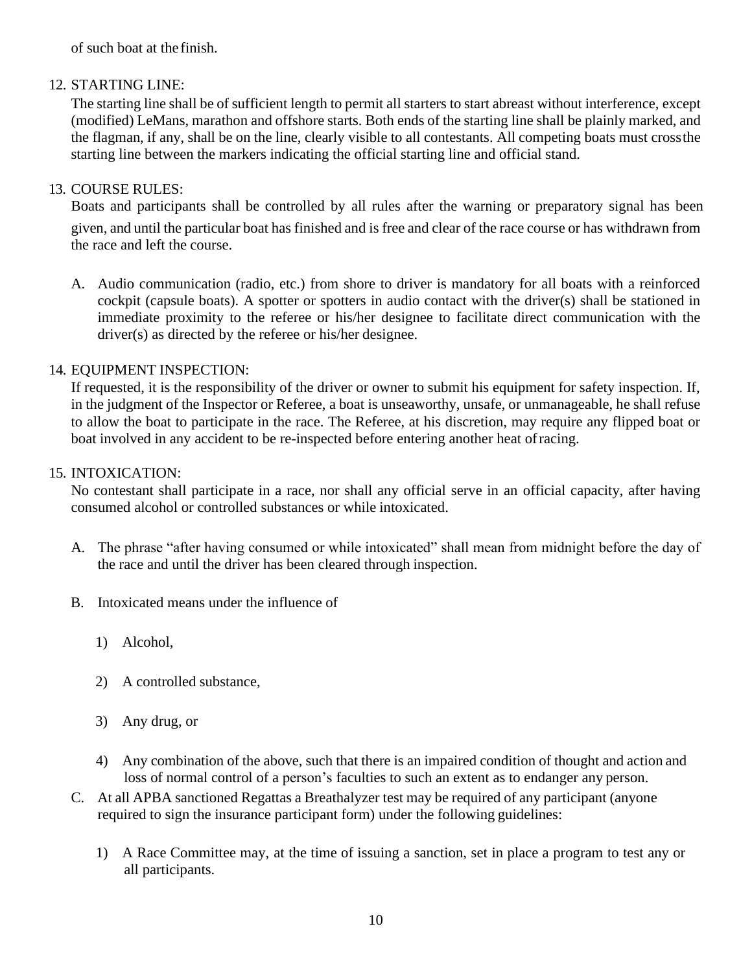<span id="page-9-0"></span>of such boat at the finish.

### 12. STARTING LINE:

<span id="page-9-2"></span>The starting line shall be of sufficient length to permit all starters to start abreast without interference, except (modified) LeMans, marathon and offshore starts. Both ends of the starting line shall be plainly marked, and the flagman, if any, shall be on the line, clearly visible to all contestants. All competing boats must crossthe starting line between the markers indicating the official starting line and official stand.

### <span id="page-9-1"></span>13. COURSE RULES:

Boats and participants shall be controlled by all rules after the warning or preparatory signal has been given, and until the particular boat has finished and is free and clear of the race course or has withdrawn from the race and left the course.

A. Audio communication (radio, etc.) from shore to driver is mandatory for all boats with a reinforced cockpit (capsule boats). A spotter or spotters in audio contact with the driver(s) shall be stationed in immediate proximity to the referee or his/her designee to facilitate direct communication with the driver(s) as directed by the referee or his/her designee.

## 14. EQUIPMENT INSPECTION:

If requested, it is the responsibility of the driver or owner to submit his equipment for safety inspection. If, in the judgment of the Inspector or Referee, a boat is unseaworthy, unsafe, or unmanageable, he shall refuse to allow the boat to participate in the race. The Referee, at his discretion, may require any flipped boat or boat involved in any accident to be re-inspected before entering another heat ofracing.

## 15. INTOXICATION:

No contestant shall participate in a race, nor shall any official serve in an official capacity, after having consumed alcohol or controlled substances or while intoxicated.

- A. The phrase "after having consumed or while intoxicated" shall mean from midnight before the day of the race and until the driver has been cleared through inspection.
- B. Intoxicated means under the influence of
	- 1) Alcohol,
	- 2) A controlled substance,
	- 3) Any drug, or
	- 4) Any combination of the above, such that there is an impaired condition of thought and action and loss of normal control of a person's faculties to such an extent as to endanger any person.
- C. At all APBA sanctioned Regattas a Breathalyzer test may be required of any participant (anyone required to sign the insurance participant form) under the following guidelines:
	- 1) A Race Committee may, at the time of issuing a sanction, set in place a program to test any or all participants.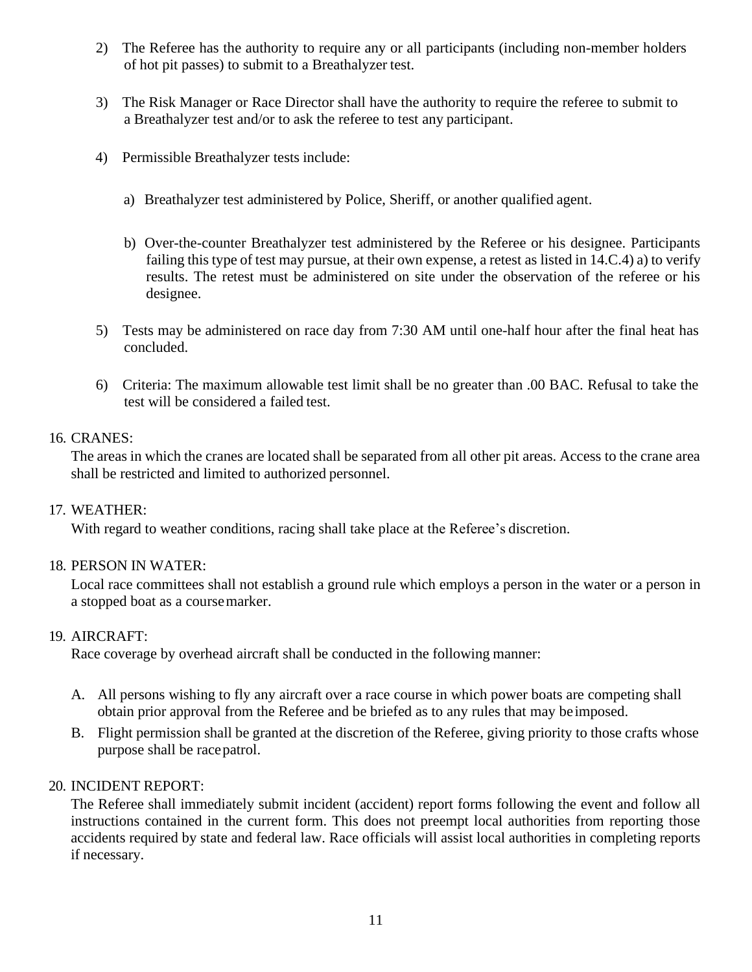- 2) The Referee has the authority to require any or all participants (including non-member holders of hot pit passes) to submit to a Breathalyzer test.
- 3) The Risk Manager or Race Director shall have the authority to require the referee to submit to a Breathalyzer test and/or to ask the referee to test any participant.
- 4) Permissible Breathalyzer tests include:
	- a) Breathalyzer test administered by Police, Sheriff, or another qualified agent.
	- b) Over-the-counter Breathalyzer test administered by the Referee or his designee. Participants failing this type of test may pursue, at their own expense, a retest as listed in 14.C.4) a) to verify results. The retest must be administered on site under the observation of the referee or his designee.
- 5) Tests may be administered on race day from 7:30 AM until one-half hour after the final heat has concluded.
- 6) Criteria: The maximum allowable test limit shall be no greater than .00 BAC. Refusal to take the test will be considered a failed test.

#### <span id="page-10-0"></span>16. CRANES:

The areas in which the cranes are located shall be separated from all other pit areas. Access to the crane area shall be restricted and limited to authorized personnel.

#### 17. WEATHER:

With regard to weather conditions, racing shall take place at the Referee's discretion.

#### 18. PERSON IN WATER:

Local race committees shall not establish a ground rule which employs a person in the water or a person in a stopped boat as a coursemarker.

#### 19. AIRCRAFT:

Race coverage by overhead aircraft shall be conducted in the following manner:

- A. All persons wishing to fly any aircraft over a race course in which power boats are competing shall obtain prior approval from the Referee and be briefed as to any rules that may beimposed.
- B. Flight permission shall be granted at the discretion of the Referee, giving priority to those crafts whose purpose shall be racepatrol.

#### 20. INCIDENT REPORT:

The Referee shall immediately submit incident (accident) report forms following the event and follow all instructions contained in the current form. This does not preempt local authorities from reporting those accidents required by state and federal law. Race officials will assist local authorities in completing reports if necessary.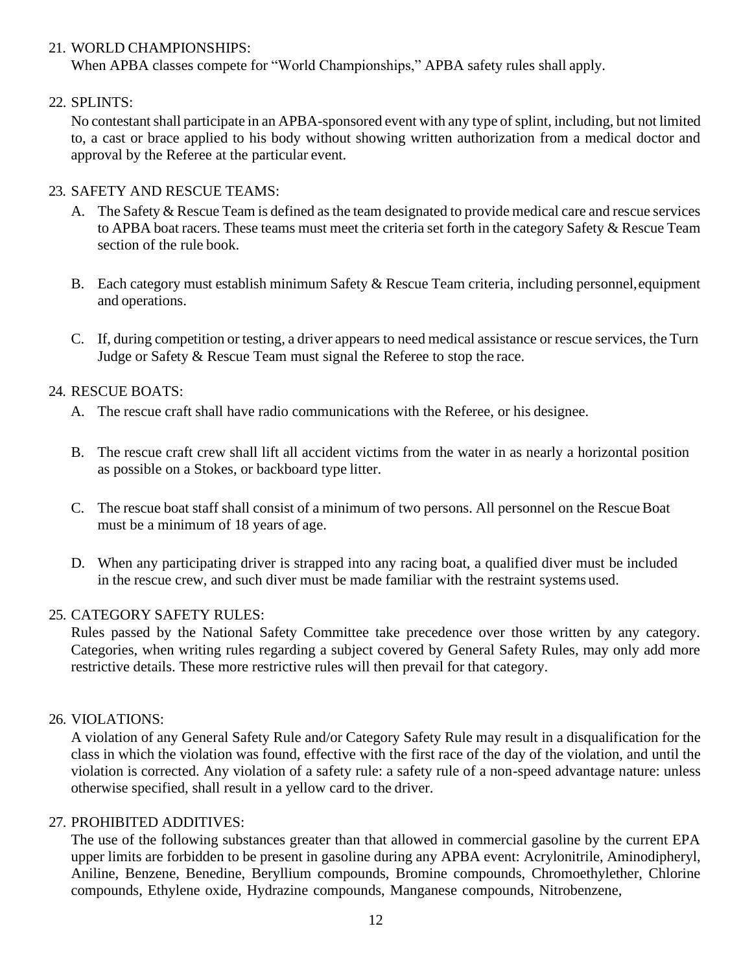#### <span id="page-11-0"></span>21. WORLD CHAMPIONSHIPS:

When APBA classes compete for "World Championships," APBA safety rules shall apply.

### 22. SPLINTS:

No contestant shall participate in an APBA-sponsored event with any type of splint, including, but not limited to, a cast or brace applied to his body without showing written authorization from a medical doctor and approval by the Referee at the particular event.

### 23. SAFETY AND RESCUE TEAMS:

- A. The Safety  $\&$  Rescue Team is defined as the team designated to provide medical care and rescue services to APBA boat racers. These teams must meet the criteria set forth in the category Safety & Rescue Team section of the rule book.
- <span id="page-11-1"></span>B. Each category must establish minimum Safety & Rescue Team criteria, including personnel,equipment and operations.
- C. If, during competition or testing, a driver appears to need medical assistance or rescue services, the Turn Judge or Safety & Rescue Team must signal the Referee to stop the race.

## 24. RESCUE BOATS:

- A. The rescue craft shall have radio communications with the Referee, or his designee.
- B. The rescue craft crew shall lift all accident victims from the water in as nearly a horizontal position as possible on a Stokes, or backboard type litter.
- C. The rescue boat staff shall consist of a minimum of two persons. All personnel on the RescueBoat must be a minimum of 18 years of age.
- D. When any participating driver is strapped into any racing boat, a qualified diver must be included in the rescue crew, and such diver must be made familiar with the restraint systems used.

#### 25. CATEGORY SAFETY RULES:

Rules passed by the National Safety Committee take precedence over those written by any category. Categories, when writing rules regarding a subject covered by General Safety Rules, may only add more restrictive details. These more restrictive rules will then prevail for that category.

#### <span id="page-11-2"></span>26. VIOLATIONS:

A violation of any General Safety Rule and/or Category Safety Rule may result in a disqualification for the class in which the violation was found, effective with the first race of the day of the violation, and until the violation is corrected. Any violation of a safety rule: a safety rule of a non-speed advantage nature: unless otherwise specified, shall result in a yellow card to the driver.

#### 27. PROHIBITED ADDITIVES:

The use of the following substances greater than that allowed in commercial gasoline by the current EPA upper limits are forbidden to be present in gasoline during any APBA event: Acrylonitrile, Aminodipheryl, Aniline, Benzene, Benedine, Beryllium compounds, Bromine compounds, Chromoethylether, Chlorine compounds, Ethylene oxide, Hydrazine compounds, Manganese compounds, Nitrobenzene,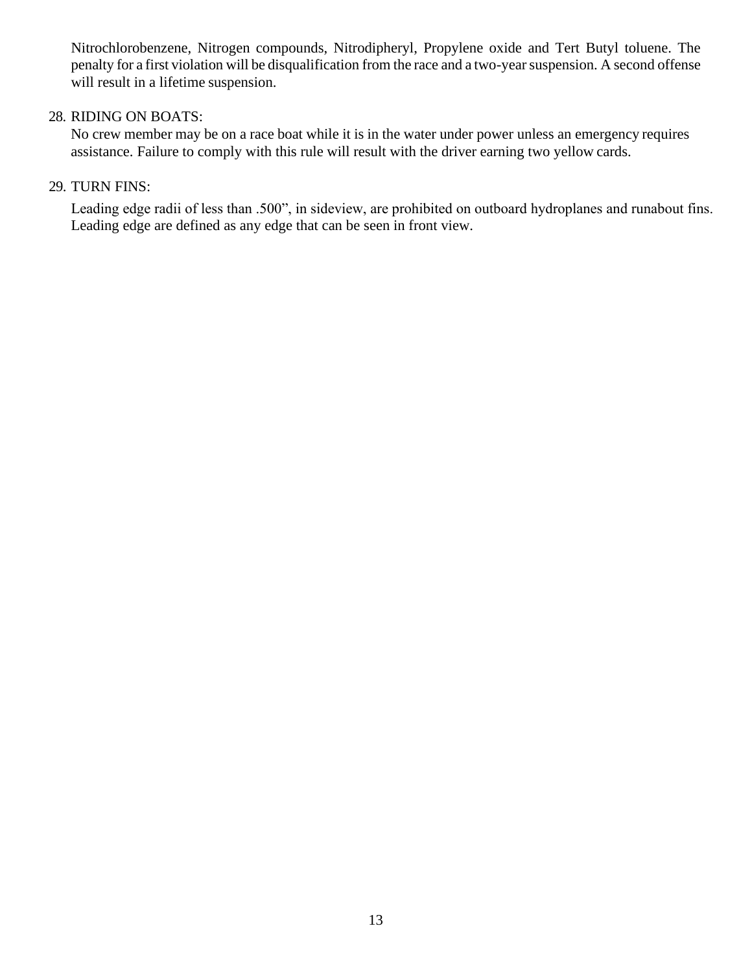<span id="page-12-0"></span>Nitrochlorobenzene, Nitrogen compounds, Nitrodipheryl, Propylene oxide and Tert Butyl toluene. The penalty for a first violation will be disqualification from the race and a two-year suspension. A second offense will result in a lifetime suspension.

#### <span id="page-12-1"></span>28. RIDING ON BOATS:

No crew member may be on a race boat while it is in the water under power unless an emergency requires assistance. Failure to comply with this rule will result with the driver earning two yellow cards.

#### 29. TURN FINS:

Leading edge radii of less than .500", in sideview, are prohibited on outboard hydroplanes and runabout fins. Leading edge are defined as any edge that can be seen in front view.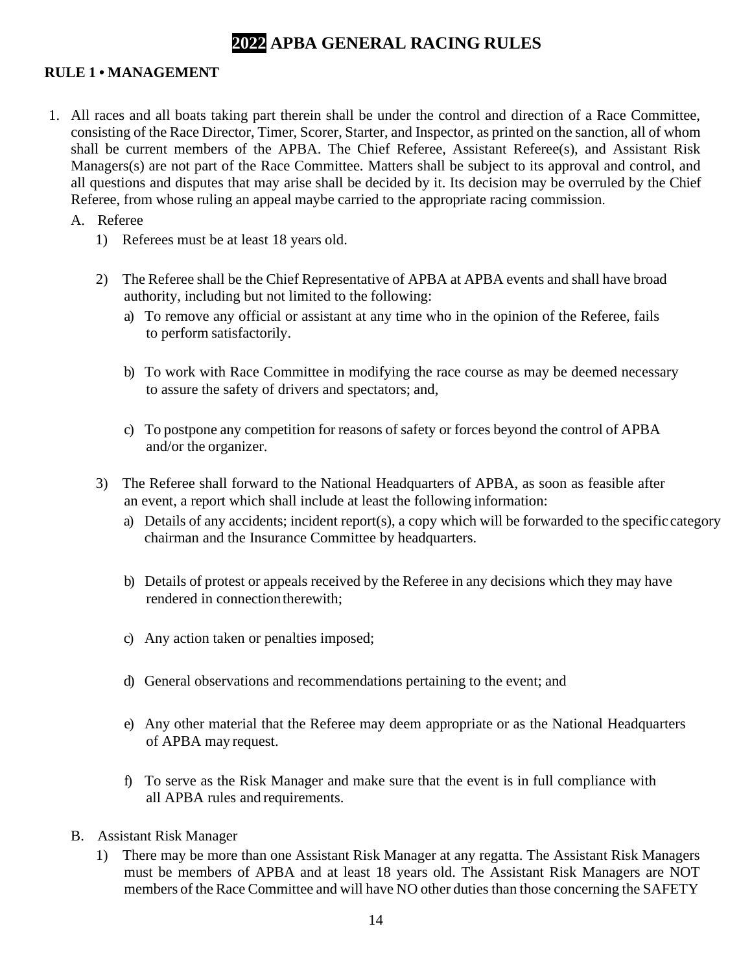# **2022 APBA GENERAL RACING RULES**

#### <span id="page-13-0"></span>**RULE 1 • MANAGEMENT**

- 1. All races and all boats taking part therein shall be under the control and direction of a Race Committee, consisting of the Race Director, Timer, Scorer, Starter, and Inspector, as printed on the sanction, all of whom shall be current members of the APBA. The Chief Referee, Assistant Referee(s), and Assistant Risk Managers(s) are not part of the Race Committee. Matters shall be subject to its approval and control, and all questions and disputes that may arise shall be decided by it. Its decision may be overruled by the Chief Referee, from whose ruling an appeal maybe carried to the appropriate racing commission.
	- A. Referee
		- 1) Referees must be at least 18 years old.
		- 2) The Referee shall be the Chief Representative of APBA at APBA events and shall have broad authority, including but not limited to the following:
			- a) To remove any official or assistant at any time who in the opinion of the Referee, fails to perform satisfactorily.
			- b) To work with Race Committee in modifying the race course as may be deemed necessary to assure the safety of drivers and spectators; and,
			- c) To postpone any competition for reasons of safety or forces beyond the control of APBA and/or the organizer.
		- 3) The Referee shall forward to the National Headquarters of APBA, as soon as feasible after an event, a report which shall include at least the following information:
			- a) Details of any accidents; incident report(s), a copy which will be forwarded to the specific category chairman and the Insurance Committee by headquarters.
			- b) Details of protest or appeals received by the Referee in any decisions which they may have rendered in connection therewith;
			- c) Any action taken or penalties imposed;
			- d) General observations and recommendations pertaining to the event; and
			- e) Any other material that the Referee may deem appropriate or as the National Headquarters of APBA may request.
			- f) To serve as the Risk Manager and make sure that the event is in full compliance with all APBA rules and requirements.
	- B. Assistant Risk Manager
		- 1) There may be more than one Assistant Risk Manager at any regatta. The Assistant Risk Managers must be members of APBA and at least 18 years old. The Assistant Risk Managers are NOT members of the Race Committee and will have NO other duties than those concerning the SAFETY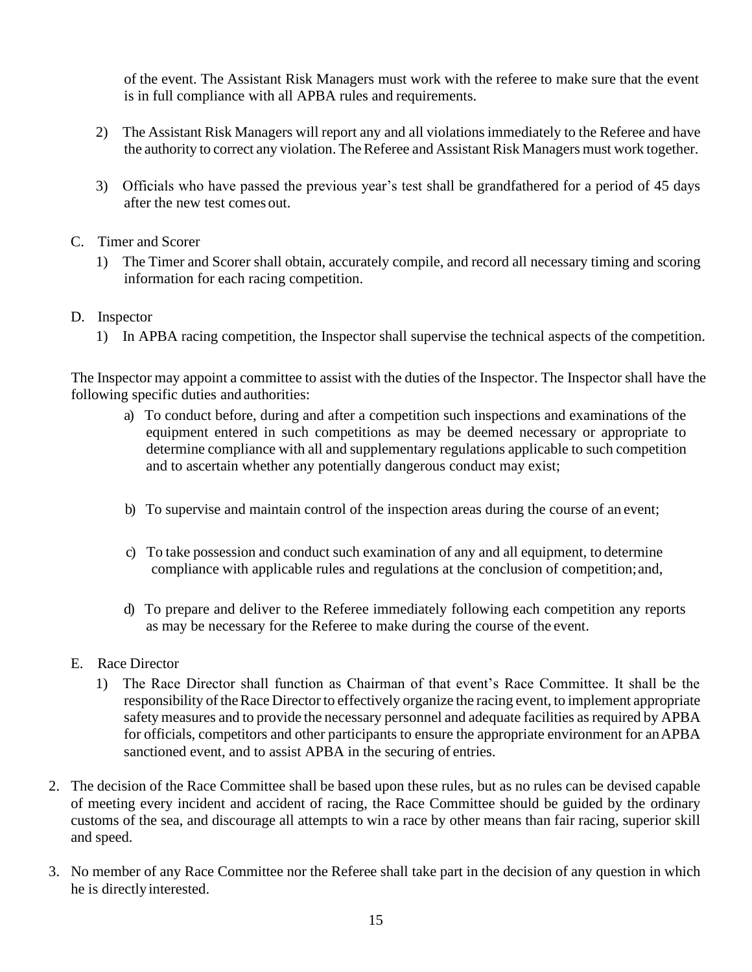of the event. The Assistant Risk Managers must work with the referee to make sure that the event is in full compliance with all APBA rules and requirements.

- 2) The Assistant Risk Managers will report any and all violationsimmediately to the Referee and have the authority to correct any violation. The Referee and Assistant Risk Managers must work together.
- 3) Officials who have passed the previous year's test shall be grandfathered for a period of 45 days after the new test comes out.
- C. Timer and Scorer
	- 1) The Timer and Scorer shall obtain, accurately compile, and record all necessary timing and scoring information for each racing competition.
- D. Inspector
	- 1) In APBA racing competition, the Inspector shall supervise the technical aspects of the competition.

The Inspector may appoint a committee to assist with the duties of the Inspector. The Inspector shall have the following specific duties and authorities:

- a) To conduct before, during and after a competition such inspections and examinations of the equipment entered in such competitions as may be deemed necessary or appropriate to determine compliance with all and supplementary regulations applicable to such competition and to ascertain whether any potentially dangerous conduct may exist;
- b) To supervise and maintain control of the inspection areas during the course of an event;
- c) To take possession and conduct such examination of any and all equipment, to determine compliance with applicable rules and regulations at the conclusion of competition;and,
- d) To prepare and deliver to the Referee immediately following each competition any reports as may be necessary for the Referee to make during the course of the event.
- E. Race Director
	- 1) The Race Director shall function as Chairman of that event's Race Committee. It shall be the responsibility of the Race Director to effectively organize the racing event, to implement appropriate safety measures and to provide the necessary personnel and adequate facilities as required by APBA for officials, competitors and other participants to ensure the appropriate environment for an APBA sanctioned event, and to assist APBA in the securing of entries.
- 2. The decision of the Race Committee shall be based upon these rules, but as no rules can be devised capable of meeting every incident and accident of racing, the Race Committee should be guided by the ordinary customs of the sea, and discourage all attempts to win a race by other means than fair racing, superior skill and speed.
- 3. No member of any Race Committee nor the Referee shall take part in the decision of any question in which he is directly interested.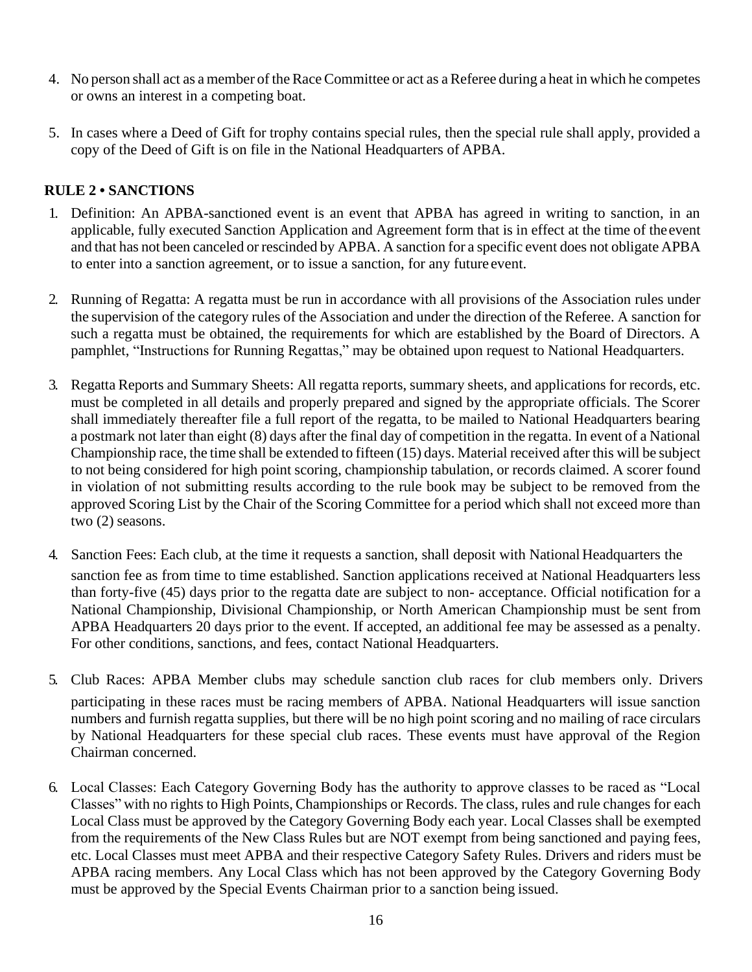- <span id="page-15-0"></span>4. No person shall act as a member of the Race Committee or act as a Referee during a heat in which he competes or owns an interest in a competing boat.
- 5. In cases where a Deed of Gift for trophy contains special rules, then the special rule shall apply, provided a copy of the Deed of Gift is on file in the National Headquarters of APBA.

# **RULE 2 • SANCTIONS**

- 1. Definition: An APBA-sanctioned event is an event that APBA has agreed in writing to sanction, in an applicable, fully executed Sanction Application and Agreement form that is in effect at the time of theevent and that has not been canceled or rescinded by APBA. A sanction for a specific event does not obligate APBA to enter into a sanction agreement, or to issue a sanction, for any future event.
- 2. Running of Regatta: A regatta must be run in accordance with all provisions of the Association rules under the supervision of the category rules of the Association and under the direction of the Referee. A sanction for such a regatta must be obtained, the requirements for which are established by the Board of Directors. A pamphlet, "Instructions for Running Regattas," may be obtained upon request to National Headquarters.
- 3. Regatta Reports and Summary Sheets: All regatta reports, summary sheets, and applications for records, etc. must be completed in all details and properly prepared and signed by the appropriate officials. The Scorer shall immediately thereafter file a full report of the regatta, to be mailed to National Headquarters bearing a postmark not later than eight (8) days after the final day of competition in the regatta. In event of a National Championship race, the time shall be extended to fifteen (15) days. Material received after this will be subject to not being considered for high point scoring, championship tabulation, or records claimed. A scorer found in violation of not submitting results according to the rule book may be subject to be removed from the approved Scoring List by the Chair of the Scoring Committee for a period which shall not exceed more than two (2) seasons.
- 4. Sanction Fees: Each club, at the time it requests a sanction, shall deposit with National Headquarters the sanction fee as from time to time established. Sanction applications received at National Headquarters less than forty-five (45) days prior to the regatta date are subject to non- acceptance. Official notification for a National Championship, Divisional Championship, or North American Championship must be sent from APBA Headquarters 20 days prior to the event. If accepted, an additional fee may be assessed as a penalty. For other conditions, sanctions, and fees, contact National Headquarters.
- 5. Club Races: APBA Member clubs may schedule sanction club races for club members only. Drivers participating in these races must be racing members of APBA. National Headquarters will issue sanction numbers and furnish regatta supplies, but there will be no high point scoring and no mailing of race circulars by National Headquarters for these special club races. These events must have approval of the Region Chairman concerned.
- 6. Local Classes: Each Category Governing Body has the authority to approve classes to be raced as "Local Classes" with no rights to High Points, Championships or Records. The class, rules and rule changes for each Local Class must be approved by the Category Governing Body each year. Local Classes shall be exempted from the requirements of the New Class Rules but are NOT exempt from being sanctioned and paying fees, etc. Local Classes must meet APBA and their respective Category Safety Rules. Drivers and riders must be APBA racing members. Any Local Class which has not been approved by the Category Governing Body must be approved by the Special Events Chairman prior to a sanction being issued.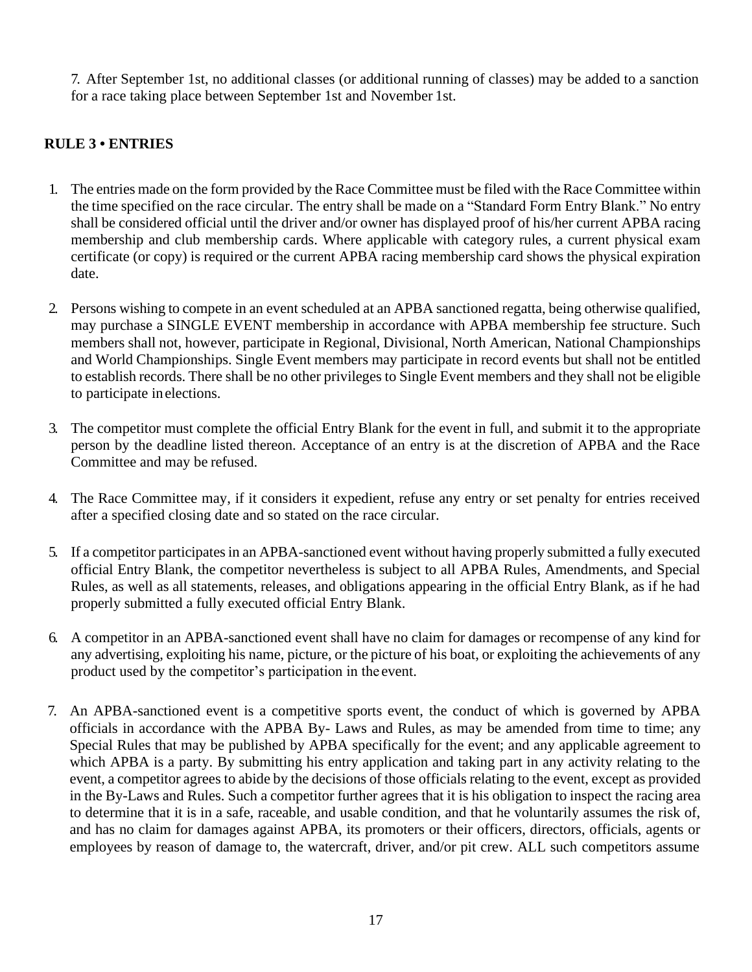7. After September 1st, no additional classes (or additional running of classes) may be added to a sanction for a race taking place between September 1st and November 1st.

# <span id="page-16-0"></span>**RULE 3 • ENTRIES**

- 1. The entries made on the form provided by the Race Committee must be filed with the Race Committee within the time specified on the race circular. The entry shall be made on a "Standard Form Entry Blank." No entry shall be considered official until the driver and/or owner has displayed proof of his/her current APBA racing membership and club membership cards. Where applicable with category rules, a current physical exam certificate (or copy) is required or the current APBA racing membership card shows the physical expiration date.
- 2. Persons wishing to compete in an event scheduled at an APBA sanctioned regatta, being otherwise qualified, may purchase a SINGLE EVENT membership in accordance with APBA membership fee structure. Such members shall not, however, participate in Regional, Divisional, North American, National Championships and World Championships. Single Event members may participate in record events but shall not be entitled to establish records. There shall be no other privileges to Single Event members and they shall not be eligible to participate inelections.
- 3. The competitor must complete the official Entry Blank for the event in full, and submit it to the appropriate person by the deadline listed thereon. Acceptance of an entry is at the discretion of APBA and the Race Committee and may be refused.
- 4. The Race Committee may, if it considers it expedient, refuse any entry or set penalty for entries received after a specified closing date and so stated on the race circular.
- 5. If a competitor participates in an APBA-sanctioned event without having properly submitted a fully executed official Entry Blank, the competitor nevertheless is subject to all APBA Rules, Amendments, and Special Rules, as well as all statements, releases, and obligations appearing in the official Entry Blank, as if he had properly submitted a fully executed official Entry Blank.
- 6. A competitor in an APBA-sanctioned event shall have no claim for damages or recompense of any kind for any advertising, exploiting his name, picture, or the picture of his boat, or exploiting the achievements of any product used by the competitor's participation in the event.
- 7. An APBA-sanctioned event is a competitive sports event, the conduct of which is governed by APBA officials in accordance with the APBA By- Laws and Rules, as may be amended from time to time; any Special Rules that may be published by APBA specifically for the event; and any applicable agreement to which APBA is a party. By submitting his entry application and taking part in any activity relating to the event, a competitor agrees to abide by the decisions of those officials relating to the event, except as provided in the By-Laws and Rules. Such a competitor further agrees that it is his obligation to inspect the racing area to determine that it is in a safe, raceable, and usable condition, and that he voluntarily assumes the risk of, and has no claim for damages against APBA, its promoters or their officers, directors, officials, agents or employees by reason of damage to, the watercraft, driver, and/or pit crew. ALL such competitors assume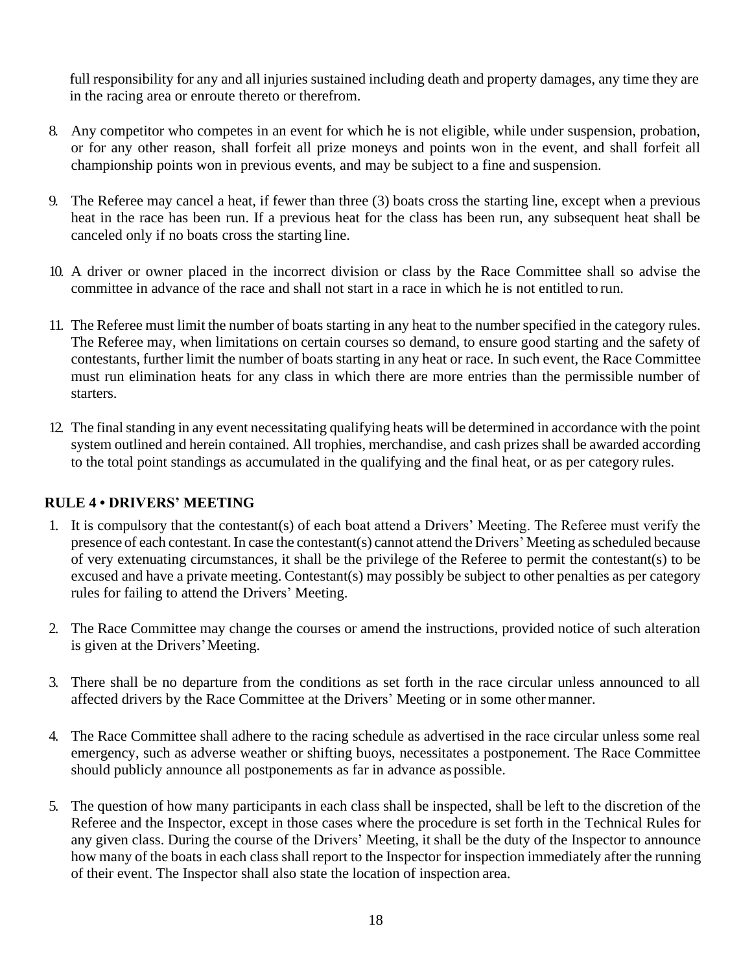full responsibility for any and all injuries sustained including death and property damages, any time they are in the racing area or enroute thereto or therefrom.

- 8. Any competitor who competes in an event for which he is not eligible, while under suspension, probation, or for any other reason, shall forfeit all prize moneys and points won in the event, and shall forfeit all championship points won in previous events, and may be subject to a fine and suspension.
- 9. The Referee may cancel a heat, if fewer than three (3) boats cross the starting line, except when a previous heat in the race has been run. If a previous heat for the class has been run, any subsequent heat shall be canceled only if no boats cross the starting line.
- 10. A driver or owner placed in the incorrect division or class by the Race Committee shall so advise the committee in advance of the race and shall not start in a race in which he is not entitled to run.
- <span id="page-17-0"></span>11. The Referee must limit the number of boats starting in any heat to the number specified in the category rules. The Referee may, when limitations on certain courses so demand, to ensure good starting and the safety of contestants, further limit the number of boats starting in any heat or race. In such event, the Race Committee must run elimination heats for any class in which there are more entries than the permissible number of starters.
- 12. The final standing in any event necessitating qualifying heats will be determined in accordance with the point system outlined and herein contained. All trophies, merchandise, and cash prizes shall be awarded according to the total point standings as accumulated in the qualifying and the final heat, or as per category rules.

#### **RULE 4 • DRIVERS' MEETING**

- 1. It is compulsory that the contestant(s) of each boat attend a Drivers' Meeting. The Referee must verify the presence of each contestant.In case the contestant(s) cannot attend the Drivers' Meeting asscheduled because of very extenuating circumstances, it shall be the privilege of the Referee to permit the contestant(s) to be excused and have a private meeting. Contestant(s) may possibly be subject to other penalties as per category rules for failing to attend the Drivers' Meeting.
- 2. The Race Committee may change the courses or amend the instructions, provided notice of such alteration is given at the Drivers'Meeting.
- 3. There shall be no departure from the conditions as set forth in the race circular unless announced to all affected drivers by the Race Committee at the Drivers' Meeting or in some othermanner.
- 4. The Race Committee shall adhere to the racing schedule as advertised in the race circular unless some real emergency, such as adverse weather or shifting buoys, necessitates a postponement. The Race Committee should publicly announce all postponements as far in advance as possible.
- 5. The question of how many participants in each class shall be inspected, shall be left to the discretion of the Referee and the Inspector, except in those cases where the procedure is set forth in the Technical Rules for any given class. During the course of the Drivers' Meeting, it shall be the duty of the Inspector to announce how many of the boats in each class shall report to the Inspector for inspection immediately after the running of their event. The Inspector shall also state the location of inspection area.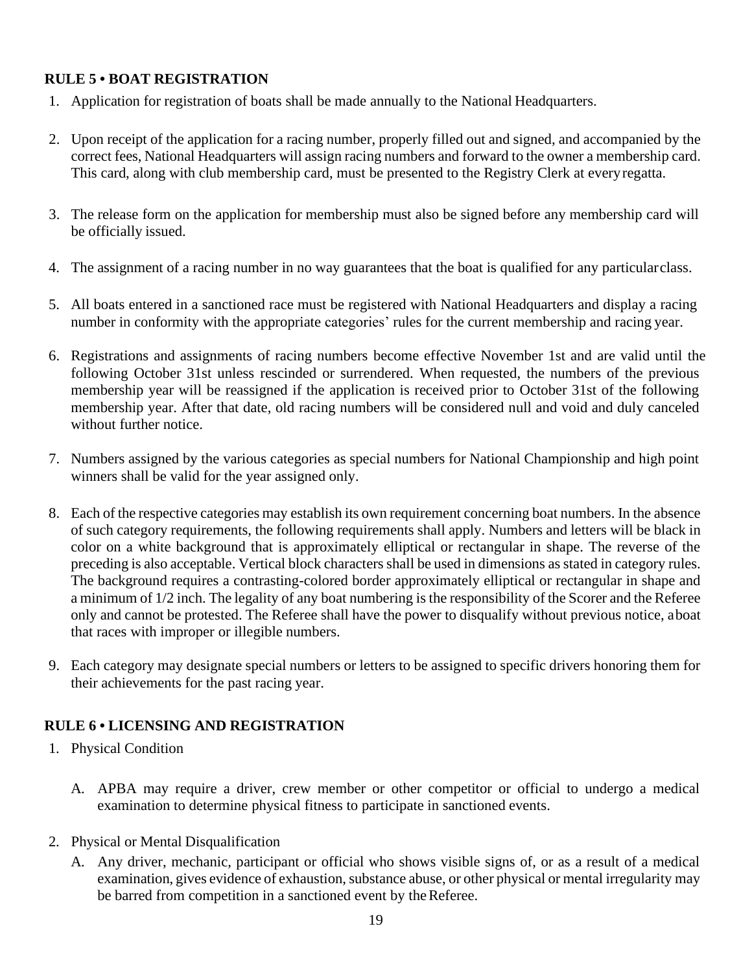# <span id="page-18-0"></span>**RULE 5 • BOAT REGISTRATION**

- 1. Application for registration of boats shall be made annually to the National Headquarters.
- 2. Upon receipt of the application for a racing number, properly filled out and signed, and accompanied by the correct fees, National Headquarters will assign racing numbers and forward to the owner a membership card. This card, along with club membership card, must be presented to the Registry Clerk at everyregatta.
- 3. The release form on the application for membership must also be signed before any membership card will be officially issued.
- 4. The assignment of a racing number in no way guarantees that the boat is qualified for any particularclass.
- 5. All boats entered in a sanctioned race must be registered with National Headquarters and display a racing number in conformity with the appropriate categories' rules for the current membership and racing year.
- 6. Registrations and assignments of racing numbers become effective November 1st and are valid until the following October 31st unless rescinded or surrendered. When requested, the numbers of the previous membership year will be reassigned if the application is received prior to October 31st of the following membership year. After that date, old racing numbers will be considered null and void and duly canceled without further notice.
- <span id="page-18-1"></span>7. Numbers assigned by the various categories as special numbers for National Championship and high point winners shall be valid for the year assigned only.
- 8. Each of the respective categories may establish its own requirement concerning boat numbers. In the absence of such category requirements, the following requirements shall apply. Numbers and letters will be black in color on a white background that is approximately elliptical or rectangular in shape. The reverse of the preceding is also acceptable. Vertical block characters shall be used in dimensions as stated in category rules. The background requires a contrasting-colored border approximately elliptical or rectangular in shape and a minimum of 1/2 inch. The legality of any boat numbering is the responsibility of the Scorer and the Referee only and cannot be protested. The Referee shall have the power to disqualify without previous notice, aboat that races with improper or illegible numbers.
- 9. Each category may designate special numbers or letters to be assigned to specific drivers honoring them for their achievements for the past racing year.

# **RULE 6 • LICENSING AND REGISTRATION**

- 1. Physical Condition
	- A. APBA may require a driver, crew member or other competitor or official to undergo a medical examination to determine physical fitness to participate in sanctioned events.
- 2. Physical or Mental Disqualification
	- A. Any driver, mechanic, participant or official who shows visible signs of, or as a result of a medical examination, gives evidence of exhaustion, substance abuse, or other physical or mental irregularity may be barred from competition in a sanctioned event by the Referee.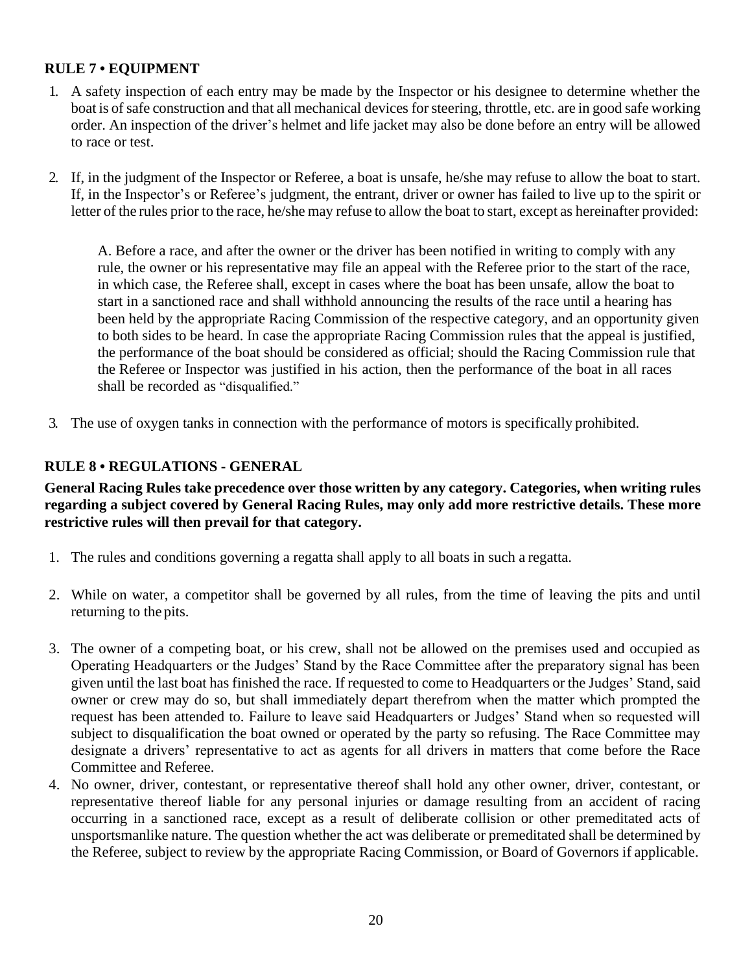## <span id="page-19-0"></span>**RULE 7 • EQUIPMENT**

- 1. A safety inspection of each entry may be made by the Inspector or his designee to determine whether the boat is of safe construction and that all mechanical devices for steering, throttle, etc. are in good safe working order. An inspection of the driver's helmet and life jacket may also be done before an entry will be allowed to race or test.
- 2. If, in the judgment of the Inspector or Referee, a boat is unsafe, he/she may refuse to allow the boat to start. If, in the Inspector's or Referee's judgment, the entrant, driver or owner has failed to live up to the spirit or letter of the rules prior to the race, he/she may refuse to allow the boat to start, except as hereinafter provided:

<span id="page-19-1"></span>A. Before a race, and after the owner or the driver has been notified in writing to comply with any rule, the owner or his representative may file an appeal with the Referee prior to the start of the race, in which case, the Referee shall, except in cases where the boat has been unsafe, allow the boat to start in a sanctioned race and shall withhold announcing the results of the race until a hearing has been held by the appropriate Racing Commission of the respective category, and an opportunity given to both sides to be heard. In case the appropriate Racing Commission rules that the appeal is justified, the performance of the boat should be considered as official; should the Racing Commission rule that the Referee or Inspector was justified in his action, then the performance of the boat in all races shall be recorded as "disqualified."

3. The use of oxygen tanks in connection with the performance of motors is specifically prohibited.

#### **RULE 8 • REGULATIONS - GENERAL**

**General Racing Rules take precedence over those written by any category. Categories, when writing rules regarding a subject covered by General Racing Rules, may only add more restrictive details. These more restrictive rules will then prevail for that category.**

- 1. The rules and conditions governing a regatta shall apply to all boats in such a regatta.
- 2. While on water, a competitor shall be governed by all rules, from the time of leaving the pits and until returning to the pits.
- 3. The owner of a competing boat, or his crew, shall not be allowed on the premises used and occupied as Operating Headquarters or the Judges' Stand by the Race Committee after the preparatory signal has been given until the last boat has finished the race. If requested to come to Headquarters or the Judges' Stand, said owner or crew may do so, but shall immediately depart therefrom when the matter which prompted the request has been attended to. Failure to leave said Headquarters or Judges' Stand when so requested will subject to disqualification the boat owned or operated by the party so refusing. The Race Committee may designate a drivers' representative to act as agents for all drivers in matters that come before the Race Committee and Referee.
- 4. No owner, driver, contestant, or representative thereof shall hold any other owner, driver, contestant, or representative thereof liable for any personal injuries or damage resulting from an accident of racing occurring in a sanctioned race, except as a result of deliberate collision or other premeditated acts of unsportsmanlike nature. The question whether the act was deliberate or premeditated shall be determined by the Referee, subject to review by the appropriate Racing Commission, or Board of Governors if applicable.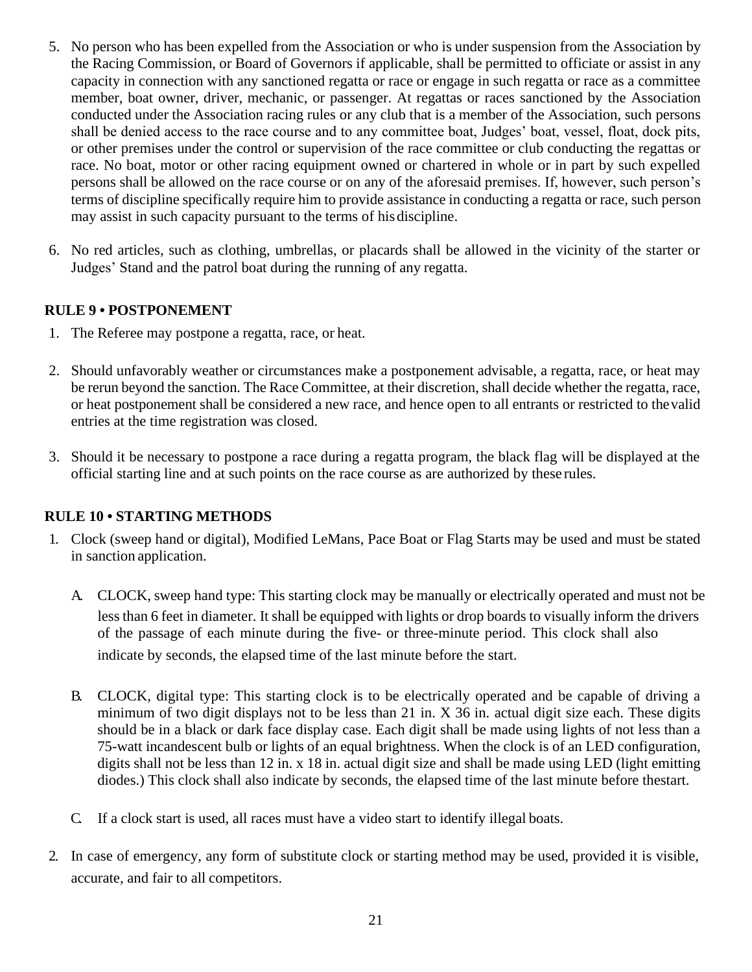- <span id="page-20-0"></span>5. No person who has been expelled from the Association or who is under suspension from the Association by the Racing Commission, or Board of Governors if applicable, shall be permitted to officiate or assist in any capacity in connection with any sanctioned regatta or race or engage in such regatta or race as a committee member, boat owner, driver, mechanic, or passenger. At regattas or races sanctioned by the Association conducted under the Association racing rules or any club that is a member of the Association, such persons shall be denied access to the race course and to any committee boat, Judges' boat, vessel, float, dock pits, or other premises under the control or supervision of the race committee or club conducting the regattas or race. No boat, motor or other racing equipment owned or chartered in whole or in part by such expelled persons shall be allowed on the race course or on any of the aforesaid premises. If, however, such person's terms of discipline specifically require him to provide assistance in conducting a regatta or race, such person may assist in such capacity pursuant to the terms of hisdiscipline.
- 6. No red articles, such as clothing, umbrellas, or placards shall be allowed in the vicinity of the starter or Judges' Stand and the patrol boat during the running of any regatta.

#### **RULE 9 • POSTPONEMENT**

- 1. The Referee may postpone a regatta, race, or heat.
- <span id="page-20-1"></span>2. Should unfavorably weather or circumstances make a postponement advisable, a regatta, race, or heat may be rerun beyond the sanction. The Race Committee, at their discretion, shall decide whether the regatta, race, or heat postponement shall be considered a new race, and hence open to all entrants or restricted to thevalid entries at the time registration was closed.
- 3. Should it be necessary to postpone a race during a regatta program, the black flag will be displayed at the official starting line and at such points on the race course as are authorized by these rules.

#### **RULE 10 • STARTING METHODS**

- 1. Clock (sweep hand or digital), Modified LeMans, Pace Boat or Flag Starts may be used and must be stated in sanction application.
	- A. CLOCK, sweep hand type: This starting clock may be manually or electrically operated and must not be less than 6 feet in diameter. It shall be equipped with lights or drop boards to visually inform the drivers of the passage of each minute during the five- or three-minute period. This clock shall also indicate by seconds, the elapsed time of the last minute before the start.
	- B. CLOCK, digital type: This starting clock is to be electrically operated and be capable of driving a minimum of two digit displays not to be less than 21 in. X 36 in. actual digit size each. These digits should be in a black or dark face display case. Each digit shall be made using lights of not less than a 75-watt incandescent bulb or lights of an equal brightness. When the clock is of an LED configuration, digits shall not be less than 12 in. x 18 in. actual digit size and shall be made using LED (light emitting diodes.) This clock shall also indicate by seconds, the elapsed time of the last minute before thestart.
	- C. If a clock start is used, all races must have a video start to identify illegal boats.
- <span id="page-20-2"></span>2. In case of emergency, any form of substitute clock or starting method may be used, provided it is visible, accurate, and fair to all competitors.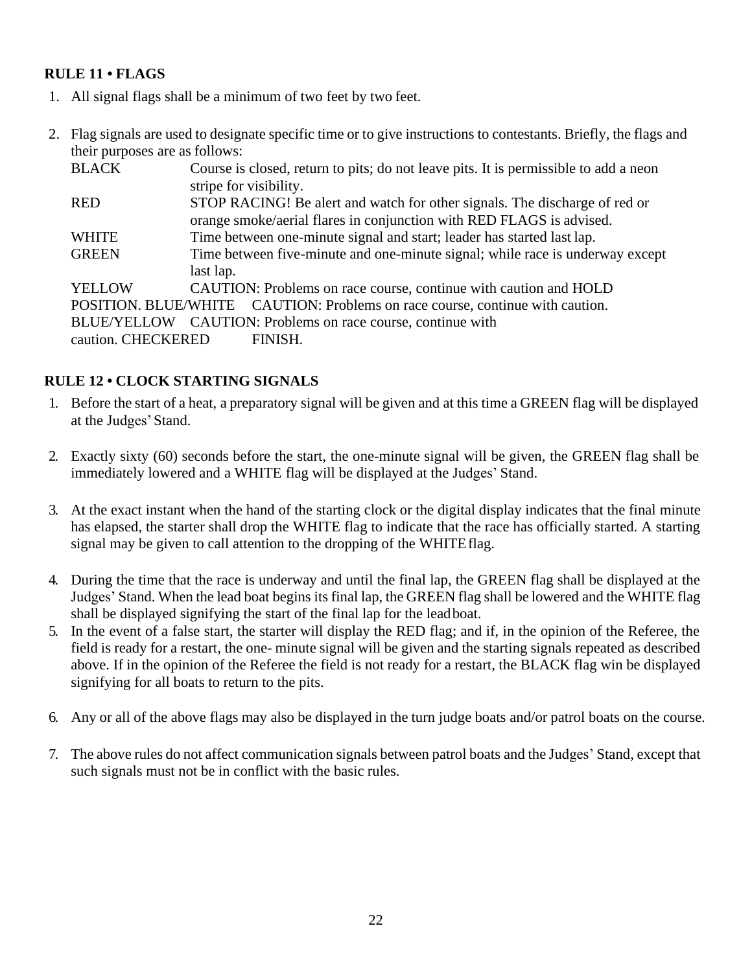# **RULE 11 • FLAGS**

- 1. All signal flags shall be a minimum of two feet by two feet.
- 2. Flag signals are used to designate specific time or to give instructions to contestants. Briefly, the flags and their purposes are as follows:

<span id="page-21-0"></span>

| <b>BLACK</b>       | Course is closed, return to pits; do not leave pits. It is permissible to add a neon |  |  |  |  |  |
|--------------------|--------------------------------------------------------------------------------------|--|--|--|--|--|
|                    | stripe for visibility.                                                               |  |  |  |  |  |
| <b>RED</b>         | STOP RACING! Be alert and watch for other signals. The discharge of red or           |  |  |  |  |  |
|                    | orange smoke/aerial flares in conjunction with RED FLAGS is advised.                 |  |  |  |  |  |
| <b>WHITE</b>       | Time between one-minute signal and start; leader has started last lap.               |  |  |  |  |  |
| <b>GREEN</b>       | Time between five-minute and one-minute signal; while race is underway except        |  |  |  |  |  |
|                    | last lap.                                                                            |  |  |  |  |  |
| <b>YELLOW</b>      | CAUTION: Problems on race course, continue with caution and HOLD                     |  |  |  |  |  |
|                    | POSITION. BLUE/WHITE CAUTION: Problems on race course, continue with caution.        |  |  |  |  |  |
|                    | BLUE/YELLOW CAUTION: Problems on race course, continue with                          |  |  |  |  |  |
| caution. CHECKERED | FINISH.                                                                              |  |  |  |  |  |

## **RULE 12 • CLOCK STARTING SIGNALS**

- 1. Before the start of a heat, a preparatory signal will be given and at this time a GREEN flag will be displayed at the Judges'Stand.
- 2. Exactly sixty (60) seconds before the start, the one-minute signal will be given, the GREEN flag shall be immediately lowered and a WHITE flag will be displayed at the Judges' Stand.
- 3. At the exact instant when the hand of the starting clock or the digital display indicates that the final minute has elapsed, the starter shall drop the WHITE flag to indicate that the race has officially started. A starting signal may be given to call attention to the dropping of the WHITEflag.
- 4. During the time that the race is underway and until the final lap, the GREEN flag shall be displayed at the Judges' Stand. When the lead boat begins its final lap, the GREEN flag shall be lowered and the WHITE flag shall be displayed signifying the start of the final lap for the leadboat.
- 5. In the event of a false start, the starter will display the RED flag; and if, in the opinion of the Referee, the field is ready for a restart, the one- minute signal will be given and the starting signals repeated as described above. If in the opinion of the Referee the field is not ready for a restart, the BLACK flag win be displayed signifying for all boats to return to the pits.
- 6. Any or all of the above flags may also be displayed in the turn judge boats and/or patrol boats on the course.
- 7. The above rules do not affect communication signals between patrol boats and the Judges' Stand, except that such signals must not be in conflict with the basic rules.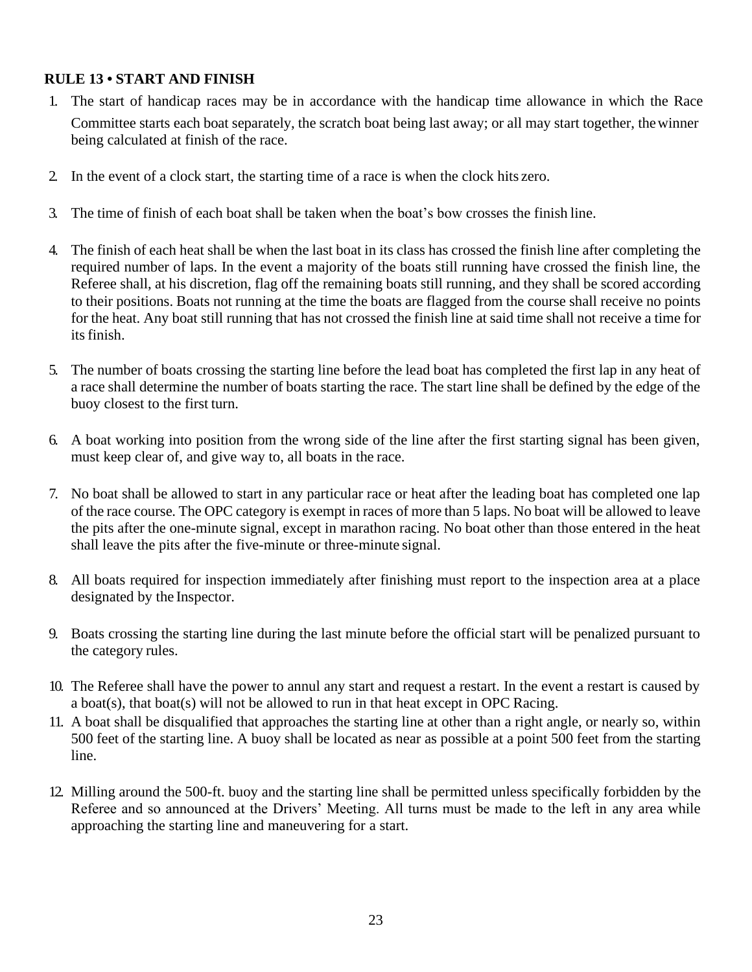#### <span id="page-22-0"></span>**RULE 13 • START AND FINISH**

- 1. The start of handicap races may be in accordance with the handicap time allowance in which the Race Committee starts each boat separately, the scratch boat being last away; or all may start together, thewinner being calculated at finish of the race.
- 2. In the event of a clock start, the starting time of a race is when the clock hits zero.
- 3. The time of finish of each boat shall be taken when the boat's bow crosses the finish line.
- 4. The finish of each heat shall be when the last boat in its class has crossed the finish line after completing the required number of laps. In the event a majority of the boats still running have crossed the finish line, the Referee shall, at his discretion, flag off the remaining boats still running, and they shall be scored according to their positions. Boats not running at the time the boats are flagged from the course shall receive no points for the heat. Any boat still running that has not crossed the finish line at said time shall not receive a time for its finish.
- 5. The number of boats crossing the starting line before the lead boat has completed the first lap in any heat of a race shall determine the number of boats starting the race. The start line shall be defined by the edge of the buoy closest to the first turn.
- 6. A boat working into position from the wrong side of the line after the first starting signal has been given, must keep clear of, and give way to, all boats in the race.
- 7. No boat shall be allowed to start in any particular race or heat after the leading boat has completed one lap of the race course. The OPC category is exempt in races of more than 5 laps. No boat will be allowed to leave the pits after the one-minute signal, except in marathon racing. No boat other than those entered in the heat shall leave the pits after the five-minute or three-minute signal.
- 8. All boats required for inspection immediately after finishing must report to the inspection area at a place designated by the Inspector.
- 9. Boats crossing the starting line during the last minute before the official start will be penalized pursuant to the category rules.
- 10. The Referee shall have the power to annul any start and request a restart. In the event a restart is caused by a boat(s), that boat(s) will not be allowed to run in that heat except in OPC Racing.
- 11. A boat shall be disqualified that approaches the starting line at other than a right angle, or nearly so, within 500 feet of the starting line. A buoy shall be located as near as possible at a point 500 feet from the starting line.
- 12. Milling around the 500-ft. buoy and the starting line shall be permitted unless specifically forbidden by the Referee and so announced at the Drivers' Meeting. All turns must be made to the left in any area while approaching the starting line and maneuvering for a start.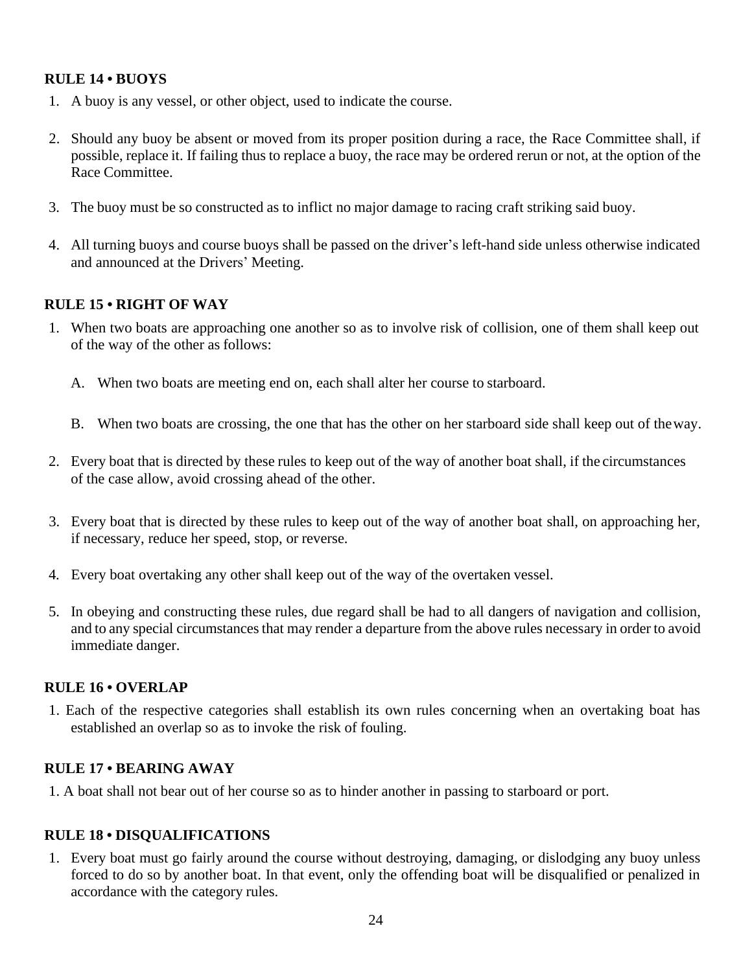#### <span id="page-23-0"></span>**RULE 14 • BUOYS**

- 1. A buoy is any vessel, or other object, used to indicate the course.
- 2. Should any buoy be absent or moved from its proper position during a race, the Race Committee shall, if possible, replace it. If failing thus to replace a buoy, the race may be ordered rerun or not, at the option of the Race Committee.
- <span id="page-23-1"></span>3. The buoy must be so constructed as to inflict no major damage to racing craft striking said buoy.
- 4. All turning buoys and course buoys shall be passed on the driver's left-hand side unless otherwise indicated and announced at the Drivers' Meeting.

#### **RULE 15 • RIGHT OF WAY**

- 1. When two boats are approaching one another so as to involve risk of collision, one of them shall keep out of the way of the other as follows:
	- A. When two boats are meeting end on, each shall alter her course to starboard.
	- B. When two boats are crossing, the one that has the other on her starboard side shall keep out of theway.
- 2. Every boat that is directed by these rules to keep out of the way of another boat shall, if the circumstances of the case allow, avoid crossing ahead of the other.
- 3. Every boat that is directed by these rules to keep out of the way of another boat shall, on approaching her, if necessary, reduce her speed, stop, or reverse.
- <span id="page-23-2"></span>4. Every boat overtaking any other shall keep out of the way of the overtaken vessel.
- 5. In obeying and constructing these rules, due regard shall be had to all dangers of navigation and collision, and to any special circumstances that may render a departure from the above rules necessary in order to avoid immediate danger.

#### **RULE 16 • OVERLAP**

1. Each of the respective categories shall establish its own rules concerning when an overtaking boat has established an overlap so as to invoke the risk of fouling.

#### **RULE 17 • BEARING AWAY**

1. A boat shall not bear out of her course so as to hinder another in passing to starboard or port.

#### **RULE 18 • DISQUALIFICATIONS**

1. Every boat must go fairly around the course without destroying, damaging, or dislodging any buoy unless forced to do so by another boat. In that event, only the offending boat will be disqualified or penalized in accordance with the category rules.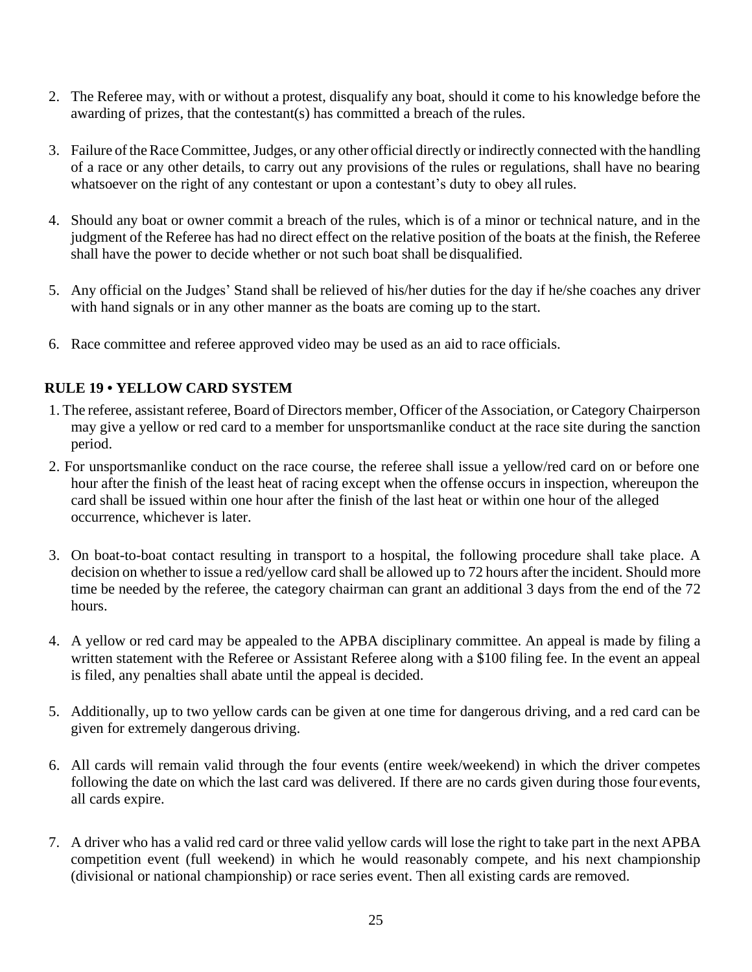- 2. The Referee may, with or without a protest, disqualify any boat, should it come to his knowledge before the awarding of prizes, that the contestant(s) has committed a breach of the rules.
- 3. Failure oftheRaceCommittee,Judges, or any other official directly or indirectly connected with the handling of a race or any other details, to carry out any provisions of the rules or regulations, shall have no bearing whatsoever on the right of any contestant or upon a contestant's duty to obey all rules.
- 4. Should any boat or owner commit a breach of the rules, which is of a minor or technical nature, and in the judgment of the Referee has had no direct effect on the relative position of the boats at the finish, the Referee shall have the power to decide whether or not such boat shall be disqualified.
- 5. Any official on the Judges' Stand shall be relieved of his/her duties for the day if he/she coaches any driver with hand signals or in any other manner as the boats are coming up to the start.
- 6. Race committee and referee approved video may be used as an aid to race officials.

# <span id="page-24-0"></span>**RULE 19 • YELLOW CARD SYSTEM**

- 1. The referee, assistant referee, Board of Directors member, Officer of the Association, or Category Chairperson may give a yellow or red card to a member for unsportsmanlike conduct at the race site during the sanction period.
- 2. For unsportsmanlike conduct on the race course, the referee shall issue a yellow/red card on or before one hour after the finish of the least heat of racing except when the offense occurs in inspection, whereupon the card shall be issued within one hour after the finish of the last heat or within one hour of the alleged occurrence, whichever is later.
- 3. On boat-to-boat contact resulting in transport to a hospital, the following procedure shall take place. A decision on whether to issue a red/yellow card shall be allowed up to 72 hours after the incident. Should more time be needed by the referee, the category chairman can grant an additional 3 days from the end of the 72 hours.
- 4. A yellow or red card may be appealed to the APBA disciplinary committee. An appeal is made by filing a written statement with the Referee or Assistant Referee along with a \$100 filing fee. In the event an appeal is filed, any penalties shall abate until the appeal is decided.
- 5. Additionally, up to two yellow cards can be given at one time for dangerous driving, and a red card can be given for extremely dangerous driving.
- 6. All cards will remain valid through the four events (entire week/weekend) in which the driver competes following the date on which the last card was delivered. If there are no cards given during those four events, all cards expire.
- 7. A driver who has a valid red card or three valid yellow cards will lose the right to take part in the next APBA competition event (full weekend) in which he would reasonably compete, and his next championship (divisional or national championship) or race series event. Then all existing cards are removed.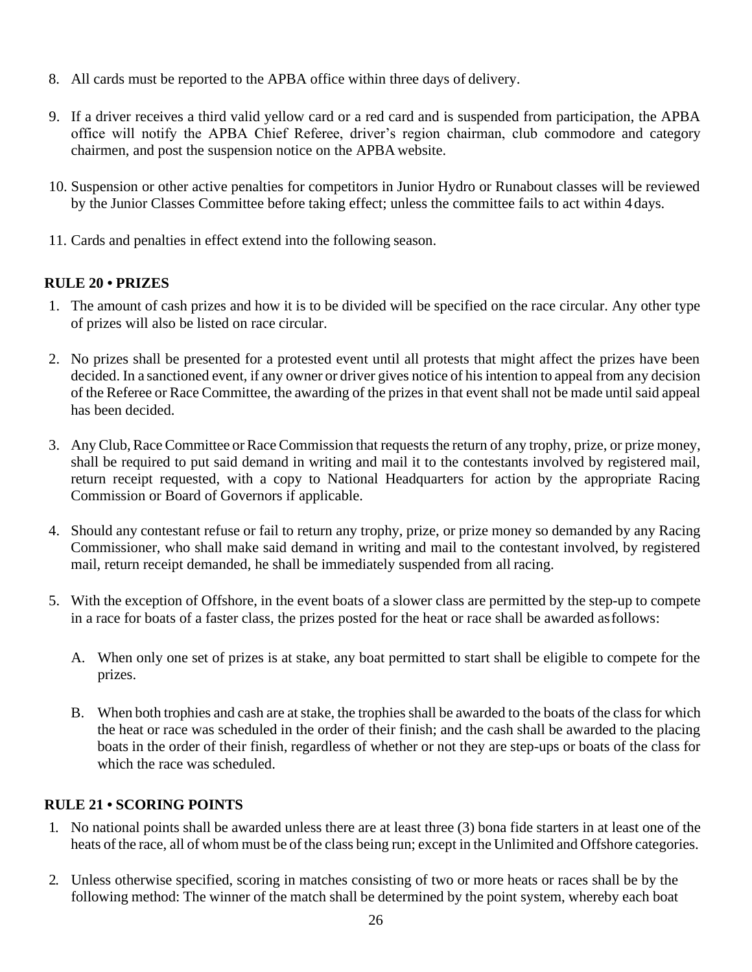- 8. All cards must be reported to the APBA office within three days of delivery.
- <span id="page-25-0"></span>9. If a driver receives a third valid yellow card or a red card and is suspended from participation, the APBA office will notify the APBA Chief Referee, driver's region chairman, club commodore and category chairmen, and post the suspension notice on the APBA website.
- 10. Suspension or other active penalties for competitors in Junior Hydro or Runabout classes will be reviewed by the Junior Classes Committee before taking effect; unless the committee fails to act within 4 days.
- 11. Cards and penalties in effect extend into the following season.

# **RULE 20 • PRIZES**

- 1. The amount of cash prizes and how it is to be divided will be specified on the race circular. Any other type of prizes will also be listed on race circular.
- 2. No prizes shall be presented for a protested event until all protests that might affect the prizes have been decided. In a sanctioned event, if any owner or driver gives notice of his intention to appeal from any decision of the Referee or Race Committee, the awarding of the prizes in that event shall not be made until said appeal has been decided.
- 3. Any Club,Race Committee or Race Commission that requests the return of any trophy, prize, or prize money, shall be required to put said demand in writing and mail it to the contestants involved by registered mail, return receipt requested, with a copy to National Headquarters for action by the appropriate Racing Commission or Board of Governors if applicable.
- 4. Should any contestant refuse or fail to return any trophy, prize, or prize money so demanded by any Racing Commissioner, who shall make said demand in writing and mail to the contestant involved, by registered mail, return receipt demanded, he shall be immediately suspended from all racing.
- <span id="page-25-1"></span>5. With the exception of Offshore, in the event boats of a slower class are permitted by the step-up to compete in a race for boats of a faster class, the prizes posted for the heat or race shall be awarded asfollows:
	- A. When only one set of prizes is at stake, any boat permitted to start shall be eligible to compete for the prizes.
	- B. When both trophies and cash are at stake, the trophies shall be awarded to the boats of the class for which the heat or race was scheduled in the order of their finish; and the cash shall be awarded to the placing boats in the order of their finish, regardless of whether or not they are step-ups or boats of the class for which the race was scheduled.

# **RULE 21 • SCORING POINTS**

- 1. No national points shall be awarded unless there are at least three (3) bona fide starters in at least one of the heats of the race, all of whom must be of the class being run; except in the Unlimited and Offshore categories.
- 2. Unless otherwise specified, scoring in matches consisting of two or more heats or races shall be by the following method: The winner of the match shall be determined by the point system, whereby each boat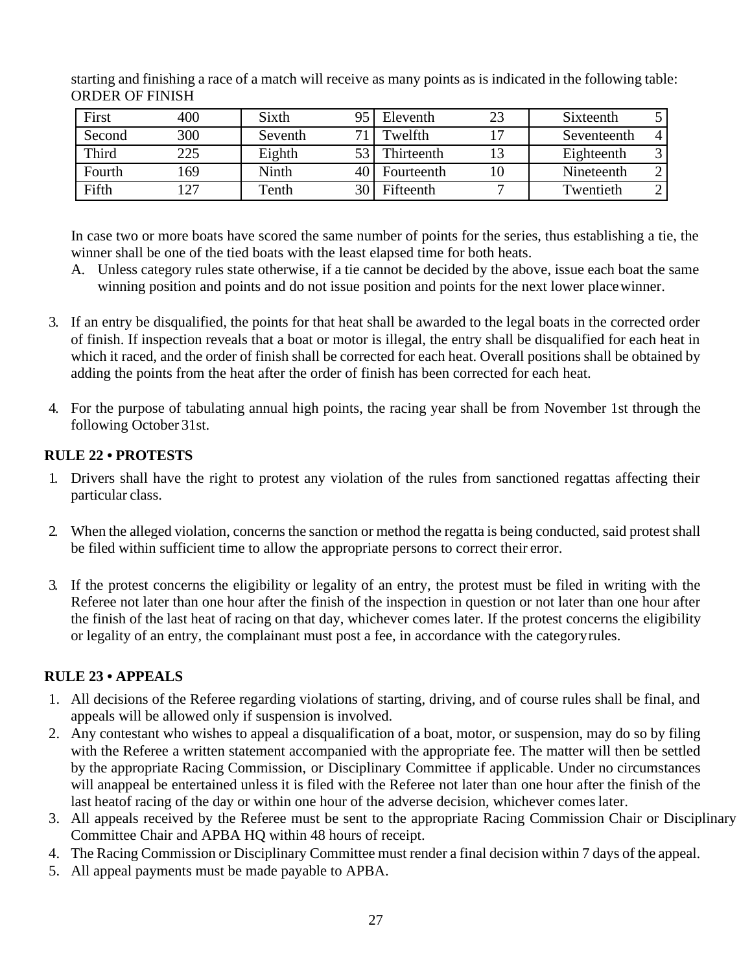starting and finishing a race of a match will receive as many points as is indicated in the following table: ORDER OF FINISH

| First  | 400 | Sixth   | q٢              | Eleventh   | 23 | Sixteenth   |  |
|--------|-----|---------|-----------------|------------|----|-------------|--|
| Second | 300 | Seventh | 71              | Twelfth    |    | Seventeenth |  |
| Third  | 225 | Eighth  |                 | Thirteenth |    | Eighteenth  |  |
| Fourth | 169 | Ninth   | 40 I            | Fourteenth |    | Nineteenth  |  |
| Fifth  | 27  | Tenth   | 30 <sub>1</sub> | Fifteenth  |    | Twentieth   |  |

In case two or more boats have scored the same number of points for the series, thus establishing a tie, the winner shall be one of the tied boats with the least elapsed time for both heats.

- A. Unless category rules state otherwise, if a tie cannot be decided by the above, issue each boat the same winning position and points and do not issue position and points for the next lower placewinner.
- 3. If an entry be disqualified, the points for that heat shall be awarded to the legal boats in the corrected order of finish. If inspection reveals that a boat or motor is illegal, the entry shall be disqualified for each heat in which it raced, and the order of finish shall be corrected for each heat. Overall positions shall be obtained by adding the points from the heat after the order of finish has been corrected for each heat.
- <span id="page-26-0"></span>4. For the purpose of tabulating annual high points, the racing year shall be from November 1st through the following October 31st.

# **RULE 22 • PROTESTS**

- 1. Drivers shall have the right to protest any violation of the rules from sanctioned regattas affecting their particular class.
- 2. When the alleged violation, concerns the sanction or method the regatta is being conducted, said protest shall be filed within sufficient time to allow the appropriate persons to correct their error.
- <span id="page-26-1"></span>3. If the protest concerns the eligibility or legality of an entry, the protest must be filed in writing with the Referee not later than one hour after the finish of the inspection in question or not later than one hour after the finish of the last heat of racing on that day, whichever comes later. If the protest concerns the eligibility or legality of an entry, the complainant must post a fee, in accordance with the categoryrules.

# **RULE 23 • APPEALS**

- 1. All decisions of the Referee regarding violations of starting, driving, and of course rules shall be final, and appeals will be allowed only if suspension is involved.
- 2. Any contestant who wishes to appeal a disqualification of a boat, motor, or suspension, may do so by filing with the Referee a written statement accompanied with the appropriate fee. The matter will then be settled by the appropriate Racing Commission, or Disciplinary Committee if applicable. Under no circumstances will anappeal be entertained unless it is filed with the Referee not later than one hour after the finish of the last heatof racing of the day or within one hour of the adverse decision, whichever comeslater.
- 3. All appeals received by the Referee must be sent to the appropriate Racing Commission Chair or Disciplinary Committee Chair and APBA HQ within 48 hours of receipt.
- 4. The Racing Commission or Disciplinary Committee must render a final decision within 7 days of the appeal.
- <span id="page-26-2"></span>5. All appeal payments must be made payable to APBA.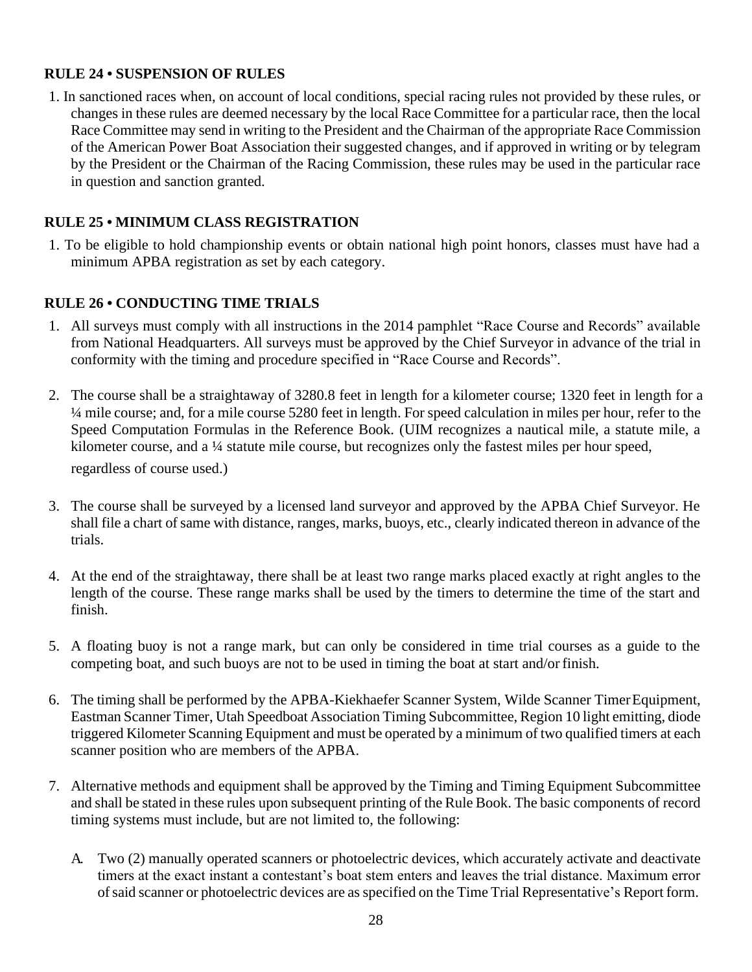## **RULE 24 • SUSPENSION OF RULES**

<span id="page-27-0"></span>1. In sanctioned races when, on account of local conditions, special racing rules not provided by these rules, or changes in these rules are deemed necessary by the local Race Committee for a particular race, then the local Race Committee may send in writing to the President and the Chairman of the appropriate Race Commission of the American Power Boat Association their suggested changes, and if approved in writing or by telegram by the President or the Chairman of the Racing Commission, these rules may be used in the particular race in question and sanction granted.

# **RULE 25 • MINIMUM CLASS REGISTRATION**

1. To be eligible to hold championship events or obtain national high point honors, classes must have had a minimum APBA registration as set by each category.

# **RULE 26 • CONDUCTING TIME TRIALS**

- 1. All surveys must comply with all instructions in the 2014 pamphlet "Race Course and Records" available from National Headquarters. All surveys must be approved by the Chief Surveyor in advance of the trial in conformity with the timing and procedure specified in "Race Course and Records".
- 2. The course shall be a straightaway of 3280.8 feet in length for a kilometer course; 1320 feet in length for a ¼ mile course; and, for a mile course 5280 feet in length. For speed calculation in miles per hour, refer to the Speed Computation Formulas in the Reference Book. (UIM recognizes a nautical mile, a statute mile, a kilometer course, and a ¼ statute mile course, but recognizes only the fastest miles per hour speed, regardless of course used.)
- 3. The course shall be surveyed by a licensed land surveyor and approved by the APBA Chief Surveyor. He shall file a chart of same with distance, ranges, marks, buoys, etc., clearly indicated thereon in advance of the trials.
- 4. At the end of the straightaway, there shall be at least two range marks placed exactly at right angles to the length of the course. These range marks shall be used by the timers to determine the time of the start and finish.
- 5. A floating buoy is not a range mark, but can only be considered in time trial courses as a guide to the competing boat, and such buoys are not to be used in timing the boat at start and/or finish.
- 6. The timing shall be performed by the APBA-Kiekhaefer Scanner System, Wilde Scanner TimerEquipment, Eastman Scanner Timer, Utah Speedboat Association Timing Subcommittee, Region 10 light emitting, diode triggered Kilometer Scanning Equipment and must be operated by a minimum of two qualified timers at each scanner position who are members of the APBA.
- 7. Alternative methods and equipment shall be approved by the Timing and Timing Equipment Subcommittee and shall be stated in these rules upon subsequent printing of the Rule Book. The basic components of record timing systems must include, but are not limited to, the following:
	- A. Two (2) manually operated scanners or photoelectric devices, which accurately activate and deactivate timers at the exact instant a contestant's boat stem enters and leaves the trial distance. Maximum error ofsaid scanner or photoelectric devices are asspecified on the Time Trial Representative's Report form.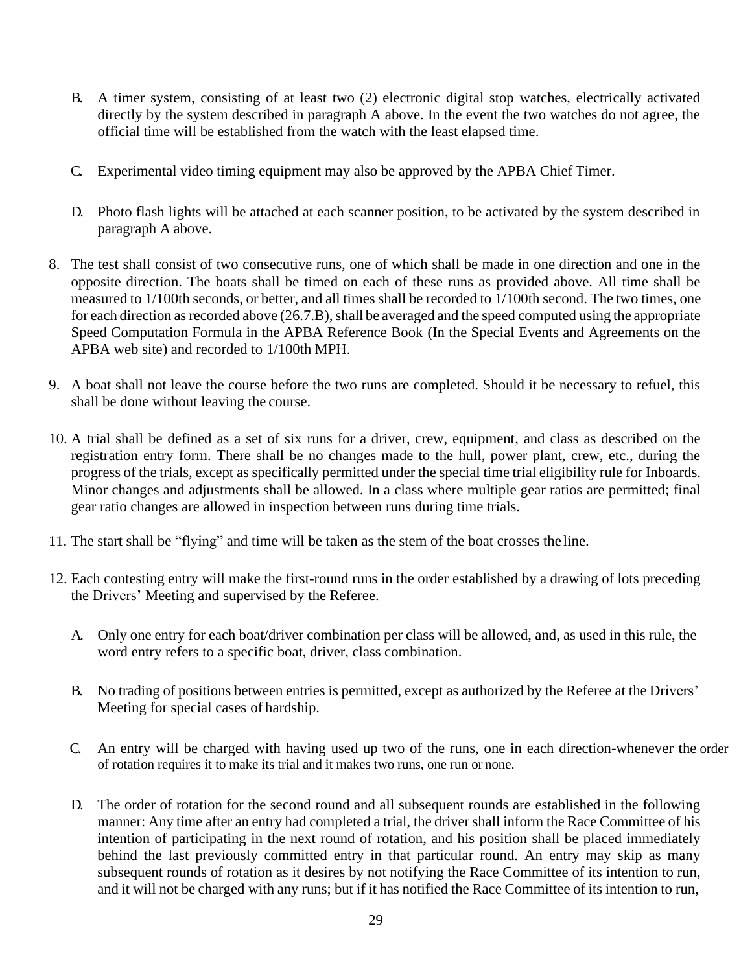- B. A timer system, consisting of at least two (2) electronic digital stop watches, electrically activated directly by the system described in paragraph A above. In the event the two watches do not agree, the official time will be established from the watch with the least elapsed time.
- C. Experimental video timing equipment may also be approved by the APBA Chief Timer.
- D. Photo flash lights will be attached at each scanner position, to be activated by the system described in paragraph A above.
- 8. The test shall consist of two consecutive runs, one of which shall be made in one direction and one in the opposite direction. The boats shall be timed on each of these runs as provided above. All time shall be measured to 1/100th seconds, or better, and all times shall be recorded to 1/100th second. The two times, one for each direction as recorded above  $(26.7.B)$ , shall be averaged and the speed computed using the appropriate Speed Computation Formula in the APBA Reference Book (In the Special Events and Agreements on the APBA web site) and recorded to 1/100th MPH.
- 9. A boat shall not leave the course before the two runs are completed. Should it be necessary to refuel, this shall be done without leaving the course.
- 10. A trial shall be defined as a set of six runs for a driver, crew, equipment, and class as described on the registration entry form. There shall be no changes made to the hull, power plant, crew, etc., during the progress of the trials, except as specifically permitted under the special time trial eligibility rule for Inboards. Minor changes and adjustments shall be allowed. In a class where multiple gear ratios are permitted; final gear ratio changes are allowed in inspection between runs during time trials.
- 11. The start shall be "flying" and time will be taken as the stem of the boat crosses the line.
- 12. Each contesting entry will make the first-round runs in the order established by a drawing of lots preceding the Drivers' Meeting and supervised by the Referee.
	- A. Only one entry for each boat/driver combination per class will be allowed, and, as used in this rule, the word entry refers to a specific boat, driver, class combination.
	- B. No trading of positions between entries is permitted, except as authorized by the Referee at the Drivers' Meeting for special cases of hardship.
	- C. An entry will be charged with having used up two of the runs, one in each direction-whenever the order of rotation requires it to make its trial and it makes two runs, one run or none.
	- D. The order of rotation for the second round and all subsequent rounds are established in the following manner: Any time after an entry had completed a trial, the driver shall inform the Race Committee of his intention of participating in the next round of rotation, and his position shall be placed immediately behind the last previously committed entry in that particular round. An entry may skip as many subsequent rounds of rotation as it desires by not notifying the Race Committee of its intention to run, and it will not be charged with any runs; but if it has notified the Race Committee of its intention to run,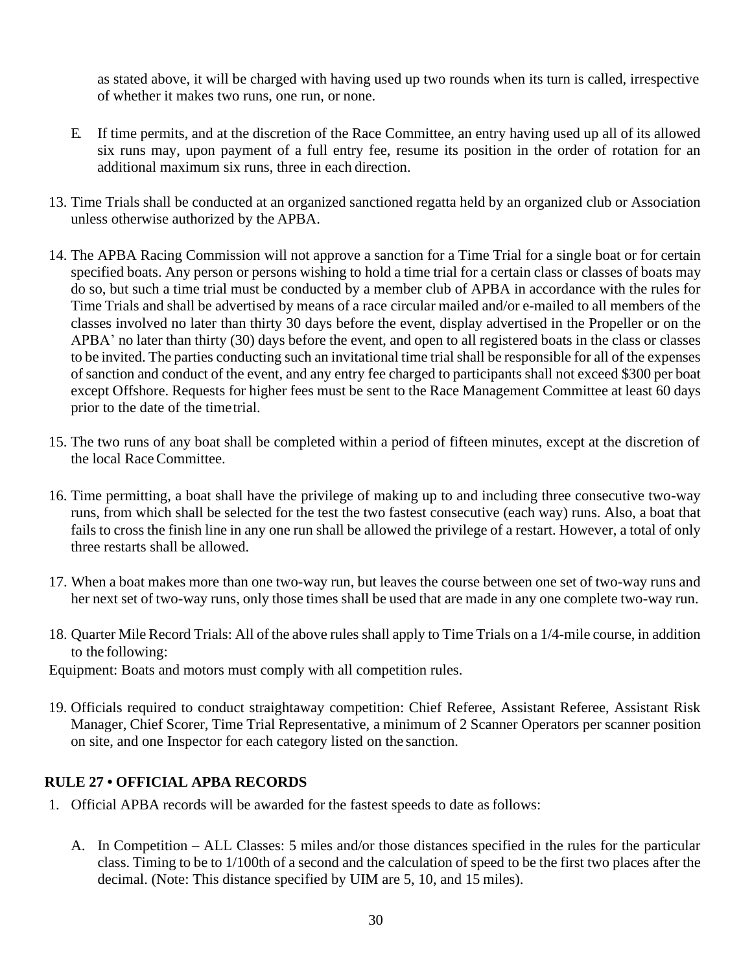as stated above, it will be charged with having used up two rounds when its turn is called, irrespective of whether it makes two runs, one run, or none.

- E. If time permits, and at the discretion of the Race Committee, an entry having used up all of its allowed six runs may, upon payment of a full entry fee, resume its position in the order of rotation for an additional maximum six runs, three in each direction.
- 13. Time Trials shall be conducted at an organized sanctioned regatta held by an organized club or Association unless otherwise authorized by the APBA.
- 14. The APBA Racing Commission will not approve a sanction for a Time Trial for a single boat or for certain specified boats. Any person or persons wishing to hold a time trial for a certain class or classes of boats may do so, but such a time trial must be conducted by a member club of APBA in accordance with the rules for Time Trials and shall be advertised by means of a race circular mailed and/or e-mailed to all members of the classes involved no later than thirty 30 days before the event, display advertised in the Propeller or on the APBA' no later than thirty (30) days before the event, and open to all registered boats in the class or classes to be invited. The parties conducting such an invitational time trialshall be responsible for all of the expenses ofsanction and conduct of the event, and any entry fee charged to participants shall not exceed \$300 per boat except Offshore. Requests for higher fees must be sent to the Race Management Committee at least 60 days prior to the date of the timetrial.
- 15. The two runs of any boat shall be completed within a period of fifteen minutes, except at the discretion of the local RaceCommittee.
- 16. Time permitting, a boat shall have the privilege of making up to and including three consecutive two-way runs, from which shall be selected for the test the two fastest consecutive (each way) runs. Also, a boat that fails to cross the finish line in any one run shall be allowed the privilege of a restart. However, a total of only three restarts shall be allowed.
- 17. When a boat makes more than one two-way run, but leaves the course between one set of two-way runs and her next set of two-way runs, only those times shall be used that are made in any one complete two-way run.
- <span id="page-29-0"></span>18. Quarter MileRecord Trials: All of the above rules shall apply to Time Trials on a 1/4-mile course, in addition to the following:
- Equipment: Boats and motors must comply with all competition rules.
- 19. Officials required to conduct straightaway competition: Chief Referee, Assistant Referee, Assistant Risk Manager, Chief Scorer, Time Trial Representative, a minimum of 2 Scanner Operators per scanner position on site, and one Inspector for each category listed on the sanction.

#### **RULE 27 • OFFICIAL APBA RECORDS**

- 1. Official APBA records will be awarded for the fastest speeds to date asfollows:
	- A. In Competition ALL Classes: 5 miles and/or those distances specified in the rules for the particular class. Timing to be to 1/100th of a second and the calculation of speed to be the first two places after the decimal. (Note: This distance specified by UIM are 5, 10, and 15 miles).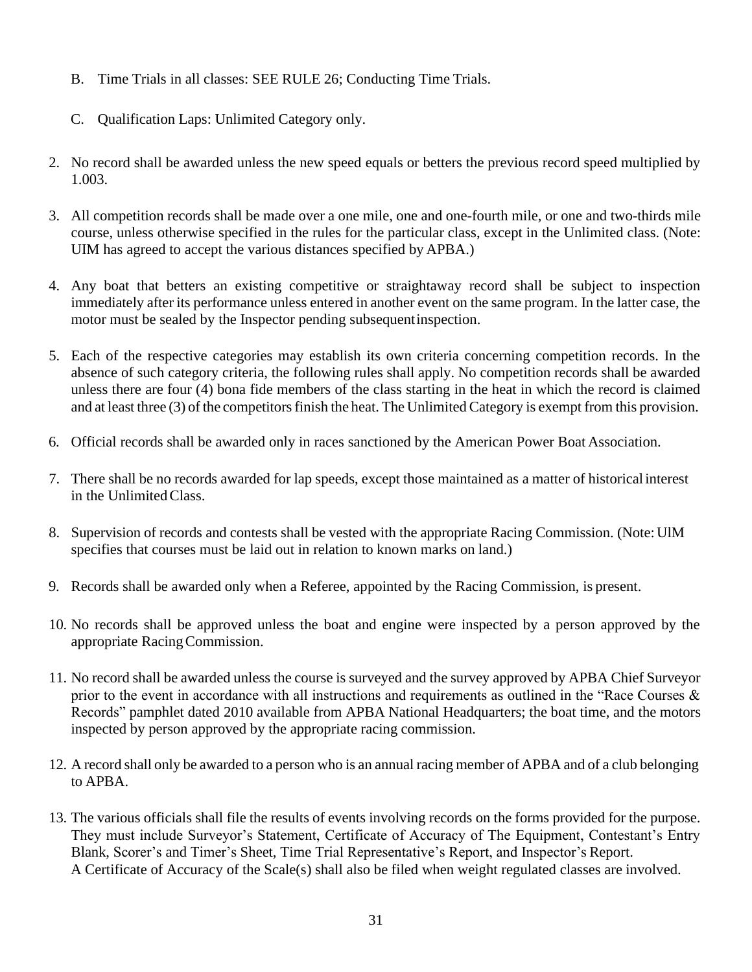- B. Time Trials in all classes: SEE RULE 26; Conducting Time Trials.
- C. Qualification Laps: Unlimited Category only.
- 2. No record shall be awarded unless the new speed equals or betters the previous record speed multiplied by 1.003.
- 3. All competition records shall be made over a one mile, one and one-fourth mile, or one and two-thirds mile course, unless otherwise specified in the rules for the particular class, except in the Unlimited class. (Note: UIM has agreed to accept the various distances specified by APBA.)
- 4. Any boat that betters an existing competitive or straightaway record shall be subject to inspection immediately after its performance unless entered in another event on the same program. In the latter case, the motor must be sealed by the Inspector pending subsequentinspection.
- 5. Each of the respective categories may establish its own criteria concerning competition records. In the absence of such category criteria, the following rules shall apply. No competition records shall be awarded unless there are four (4) bona fide members of the class starting in the heat in which the record is claimed and at least three (3) of the competitors finish the heat. The Unlimited Category is exempt from this provision.
- 6. Official records shall be awarded only in races sanctioned by the American Power Boat Association.
- 7. There shall be no records awarded for lap speeds, except those maintained as a matter of historical interest in the UnlimitedClass.
- 8. Supervision of records and contests shall be vested with the appropriate Racing Commission. (Note:UlM specifies that courses must be laid out in relation to known marks on land.)
- 9. Records shall be awarded only when a Referee, appointed by the Racing Commission, is present.
- 10. No records shall be approved unless the boat and engine were inspected by a person approved by the appropriate RacingCommission.
- 11. No record shall be awarded unless the course is surveyed and the survey approved by APBA Chief Surveyor prior to the event in accordance with all instructions and requirements as outlined in the "Race Courses & Records" pamphlet dated 2010 available from APBA National Headquarters; the boat time, and the motors inspected by person approved by the appropriate racing commission.
- 12. A record shall only be awarded to a person who is an annual racing member of APBA and of a club belonging to APBA.
- 13. The various officials shall file the results of events involving records on the forms provided for the purpose. They must include Surveyor's Statement, Certificate of Accuracy of The Equipment, Contestant's Entry Blank, Scorer's and Timer's Sheet, Time Trial Representative's Report, and Inspector's Report. A Certificate of Accuracy of the Scale(s) shall also be filed when weight regulated classes are involved.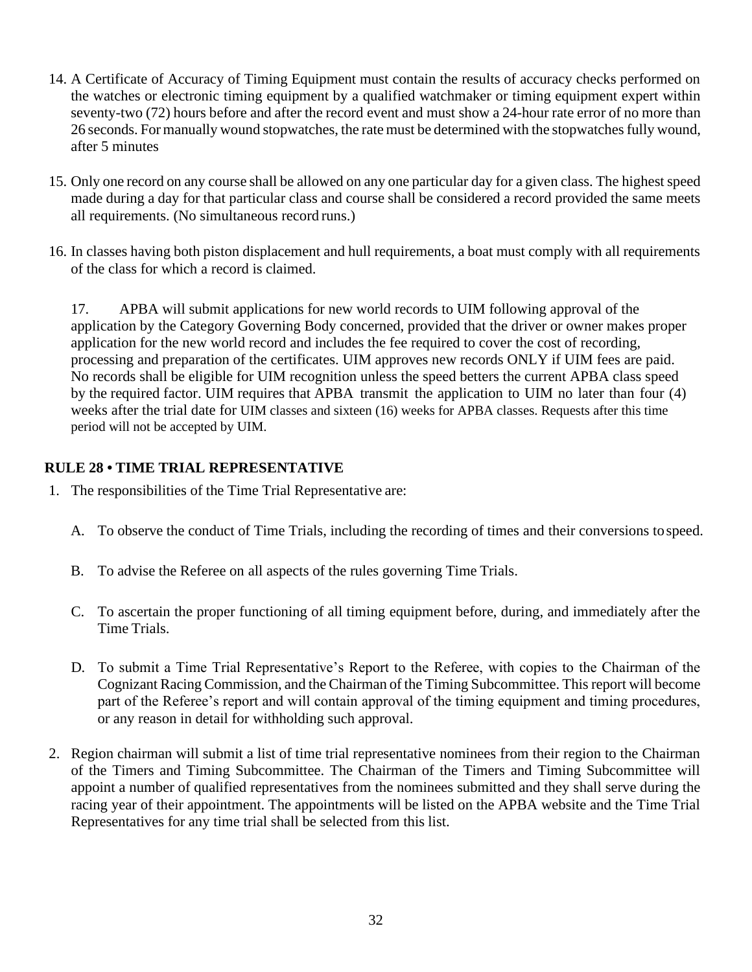- 14. A Certificate of Accuracy of Timing Equipment must contain the results of accuracy checks performed on the watches or electronic timing equipment by a qualified watchmaker or timing equipment expert within seventy-two (72) hours before and after the record event and must show a 24-hour rate error of no more than 26 seconds. Formanually wound stopwatches, the rate must be determined with the stopwatchesfully wound, after 5 minutes
- 15. Only one record on any course shall be allowed on any one particular day for a given class. The highest speed made during a day for that particular class and course shall be considered a record provided the same meets all requirements. (No simultaneous record runs.)
- 16. In classes having both piston displacement and hull requirements, a boat must comply with all requirements of the class for which a record is claimed.

<span id="page-31-0"></span>17. APBA will submit applications for new world records to UIM following approval of the application by the Category Governing Body concerned, provided that the driver or owner makes proper application for the new world record and includes the fee required to cover the cost of recording, processing and preparation of the certificates. UIM approves new records ONLY if UIM fees are paid. No records shall be eligible for UIM recognition unless the speed betters the current APBA class speed by the required factor. UIM requires that APBA transmit the application to UIM no later than four (4) weeks after the trial date for UIM classes and sixteen (16) weeks for APBA classes. Requests after this time period will not be accepted by UIM.

## **RULE 28 • TIME TRIAL REPRESENTATIVE**

- 1. The responsibilities of the Time Trial Representative are:
	- A. To observe the conduct of Time Trials, including the recording of times and their conversions tospeed.
	- B. To advise the Referee on all aspects of the rules governing Time Trials.
	- C. To ascertain the proper functioning of all timing equipment before, during, and immediately after the Time Trials.
	- D. To submit a Time Trial Representative's Report to the Referee, with copies to the Chairman of the Cognizant Racing Commission, and the Chairman of the Timing Subcommittee. Thisreport will become part of the Referee's report and will contain approval of the timing equipment and timing procedures, or any reason in detail for withholding such approval.
- 2. Region chairman will submit a list of time trial representative nominees from their region to the Chairman of the Timers and Timing Subcommittee. The Chairman of the Timers and Timing Subcommittee will appoint a number of qualified representatives from the nominees submitted and they shall serve during the racing year of their appointment. The appointments will be listed on the APBA website and the Time Trial Representatives for any time trial shall be selected from this list.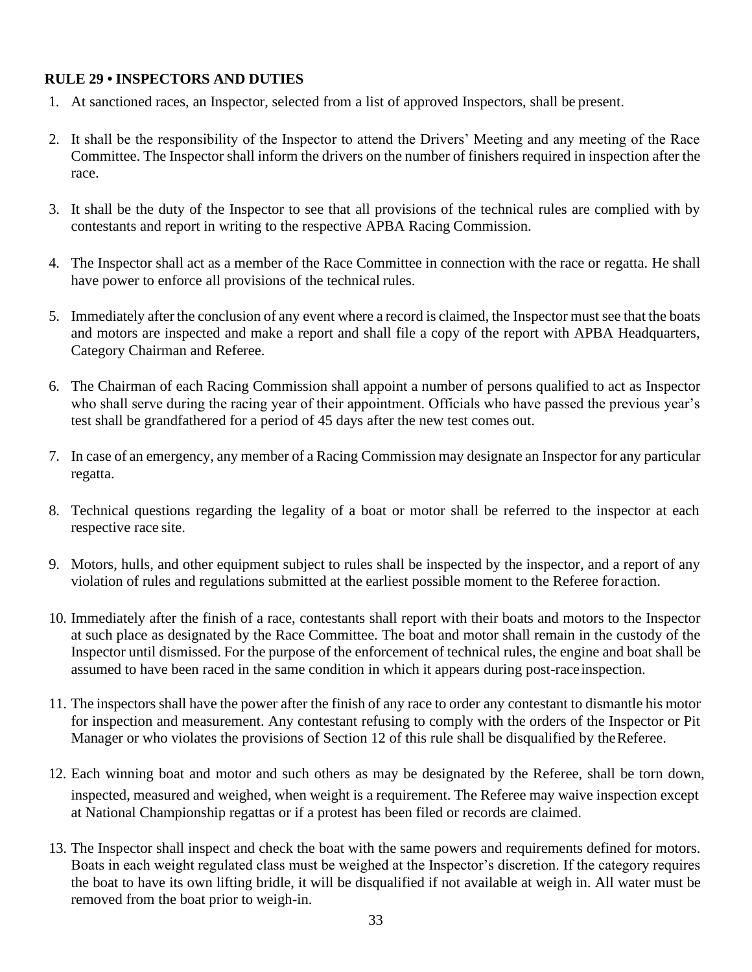#### <span id="page-32-0"></span>**RULE 29 • INSPECTORS AND DUTIES**

- 1. At sanctioned races, an Inspector, selected from a list of approved Inspectors, shall be present.
- 2. It shall be the responsibility of the Inspector to attend the Drivers' Meeting and any meeting of the Race Committee. The Inspector shall inform the drivers on the number of finishers required in inspection after the race.
- 3. It shall be the duty of the Inspector to see that all provisions of the technical rules are complied with by contestants and report in writing to the respective APBA Racing Commission.
- 4. The Inspector shall act as a member of the Race Committee in connection with the race or regatta. He shall have power to enforce all provisions of the technical rules.
- 5. Immediately after the conclusion of any event where a record is claimed, the Inspector must see that the boats and motors are inspected and make a report and shall file a copy of the report with APBA Headquarters, Category Chairman and Referee.
- 6. The Chairman of each Racing Commission shall appoint a number of persons qualified to act as Inspector who shall serve during the racing year of their appointment. Officials who have passed the previous year's test shall be grandfathered for a period of 45 days after the new test comes out.
- 7. In case of an emergency, any member of a Racing Commission may designate an Inspector for any particular regatta.
- 8. Technical questions regarding the legality of a boat or motor shall be referred to the inspector at each respective race site.
- 9. Motors, hulls, and other equipment subject to rules shall be inspected by the inspector, and a report of any violation of rules and regulations submitted at the earliest possible moment to the Referee foraction.
- 10. Immediately after the finish of a race, contestants shall report with their boats and motors to the Inspector at such place as designated by the Race Committee. The boat and motor shall remain in the custody of the Inspector until dismissed. For the purpose of the enforcement of technical rules, the engine and boat shall be assumed to have been raced in the same condition in which it appears during post-raceinspection.
- 11. The inspectors shall have the power after the finish of any race to order any contestant to dismantle his motor for inspection and measurement. Any contestant refusing to comply with the orders of the Inspector or Pit Manager or who violates the provisions of Section 12 of this rule shall be disqualified by theReferee.
- 12. Each winning boat and motor and such others as may be designated by the Referee, shall be torn down, inspected, measured and weighed, when weight is a requirement. The Referee may waive inspection except at National Championship regattas or if a protest has been filed or records are claimed.
- 13. The Inspector shall inspect and check the boat with the same powers and requirements defined for motors. Boats in each weight regulated class must be weighed at the Inspector's discretion. If the category requires the boat to have its own lifting bridle, it will be disqualified if not available at weigh in. All water must be removed from the boat prior to weigh-in.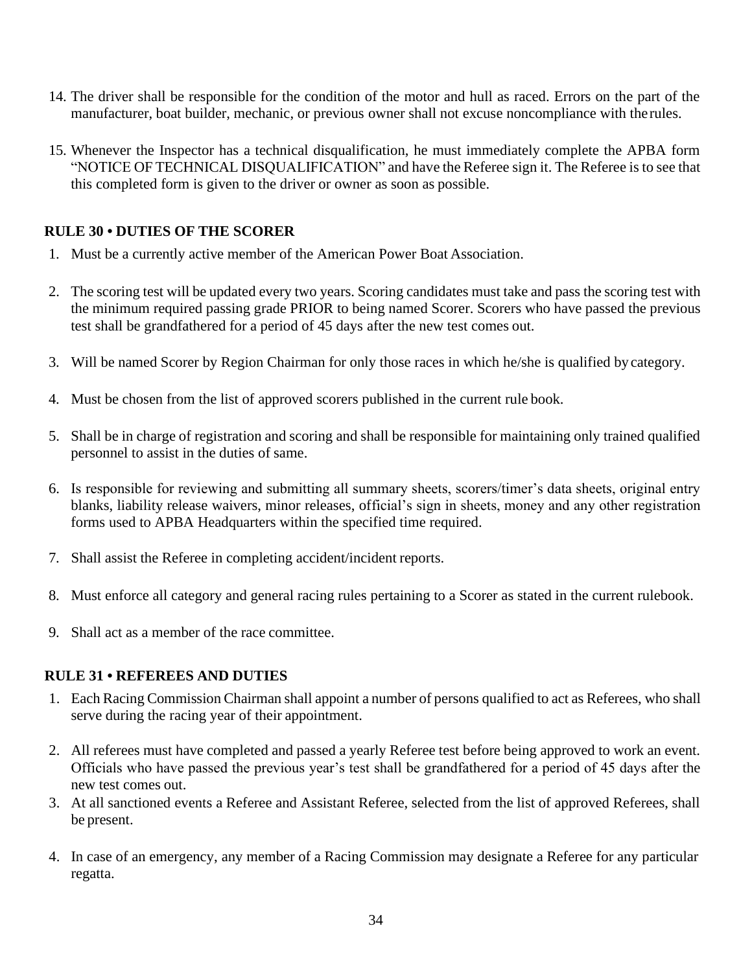- 14. The driver shall be responsible for the condition of the motor and hull as raced. Errors on the part of the manufacturer, boat builder, mechanic, or previous owner shall not excuse noncompliance with therules.
- 15. Whenever the Inspector has a technical disqualification, he must immediately complete the APBA form "NOTICE OF TECHNICAL DISQUALIFICATION" and have the Referee sign it. The Referee is to see that this completed form is given to the driver or owner as soon as possible.

### <span id="page-33-0"></span>**RULE 30 • DUTIES OF THE SCORER**

- 1. Must be a currently active member of the American Power Boat Association.
- 2. The scoring test will be updated every two years. Scoring candidates must take and pass the scoring test with the minimum required passing grade PRIOR to being named Scorer. Scorers who have passed the previous test shall be grandfathered for a period of 45 days after the new test comes out.
- 3. Will be named Scorer by Region Chairman for only those races in which he/she is qualified bycategory.
- 4. Must be chosen from the list of approved scorers published in the current rule book.
- 5. Shall be in charge of registration and scoring and shall be responsible for maintaining only trained qualified personnel to assist in the duties of same.
- <span id="page-33-1"></span>6. Is responsible for reviewing and submitting all summary sheets, scorers/timer's data sheets, original entry blanks, liability release waivers, minor releases, official's sign in sheets, money and any other registration forms used to APBA Headquarters within the specified time required.
- 7. Shall assist the Referee in completing accident/incident reports.
- 8. Must enforce all category and general racing rules pertaining to a Scorer as stated in the current rulebook.
- 9. Shall act as a member of the race committee.

#### **RULE 31 • REFEREES AND DUTIES**

- 1. Each Racing Commission Chairman shall appoint a number of persons qualified to act as Referees, who shall serve during the racing year of their appointment.
- 2. All referees must have completed and passed a yearly Referee test before being approved to work an event. Officials who have passed the previous year's test shall be grandfathered for a period of 45 days after the new test comes out.
- 3. At all sanctioned events a Referee and Assistant Referee, selected from the list of approved Referees, shall be present.
- 4. In case of an emergency, any member of a Racing Commission may designate a Referee for any particular regatta.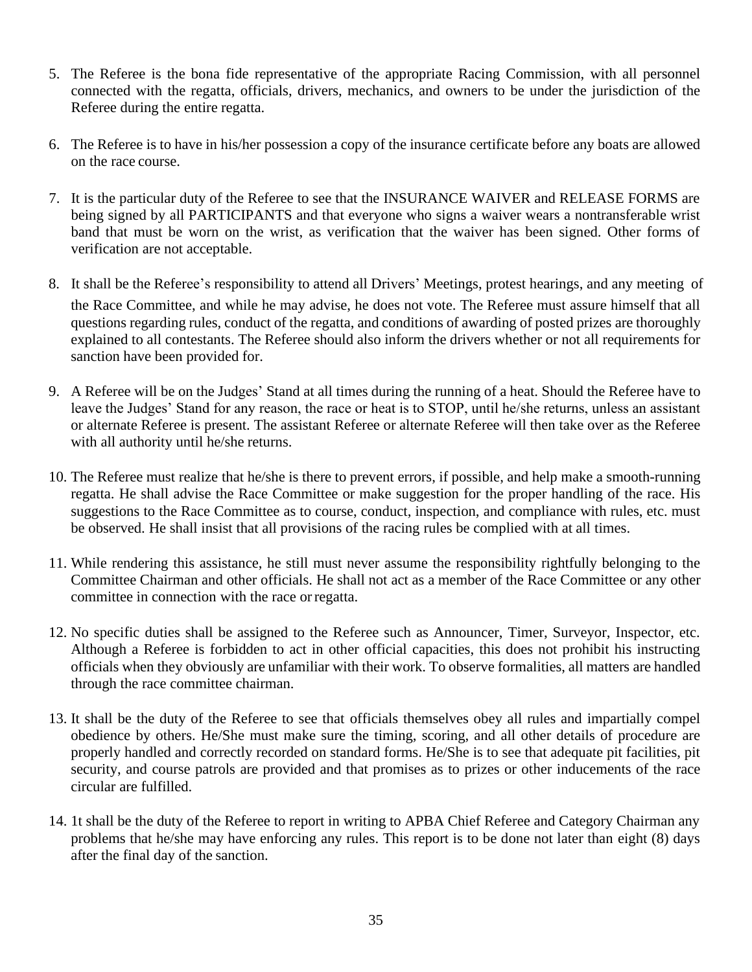- 5. The Referee is the bona fide representative of the appropriate Racing Commission, with all personnel connected with the regatta, officials, drivers, mechanics, and owners to be under the jurisdiction of the Referee during the entire regatta.
- 6. The Referee is to have in his/her possession a copy of the insurance certificate before any boats are allowed on the race course.
- 7. It is the particular duty of the Referee to see that the INSURANCE WAIVER and RELEASE FORMS are being signed by all PARTICIPANTS and that everyone who signs a waiver wears a nontransferable wrist band that must be worn on the wrist, as verification that the waiver has been signed. Other forms of verification are not acceptable.
- 8. It shall be the Referee's responsibility to attend all Drivers' Meetings, protest hearings, and any meeting of the Race Committee, and while he may advise, he does not vote. The Referee must assure himself that all questions regarding rules, conduct of the regatta, and conditions of awarding of posted prizes are thoroughly explained to all contestants. The Referee should also inform the drivers whether or not all requirements for sanction have been provided for.
- 9. A Referee will be on the Judges' Stand at all times during the running of a heat. Should the Referee have to leave the Judges' Stand for any reason, the race or heat is to STOP, until he/she returns, unless an assistant or alternate Referee is present. The assistant Referee or alternate Referee will then take over as the Referee with all authority until he/she returns.
- 10. The Referee must realize that he/she is there to prevent errors, if possible, and help make a smooth-running regatta. He shall advise the Race Committee or make suggestion for the proper handling of the race. His suggestions to the Race Committee as to course, conduct, inspection, and compliance with rules, etc. must be observed. He shall insist that all provisions of the racing rules be complied with at all times.
- 11. While rendering this assistance, he still must never assume the responsibility rightfully belonging to the Committee Chairman and other officials. He shall not act as a member of the Race Committee or any other committee in connection with the race orregatta.
- 12. No specific duties shall be assigned to the Referee such as Announcer, Timer, Surveyor, Inspector, etc. Although a Referee is forbidden to act in other official capacities, this does not prohibit his instructing officials when they obviously are unfamiliar with their work. To observe formalities, all matters are handled through the race committee chairman.
- 13. It shall be the duty of the Referee to see that officials themselves obey all rules and impartially compel obedience by others. He/She must make sure the timing, scoring, and all other details of procedure are properly handled and correctly recorded on standard forms. He/She is to see that adequate pit facilities, pit security, and course patrols are provided and that promises as to prizes or other inducements of the race circular are fulfilled.
- 14. 1t shall be the duty of the Referee to report in writing to APBA Chief Referee and Category Chairman any problems that he/she may have enforcing any rules. This report is to be done not later than eight (8) days after the final day of the sanction.